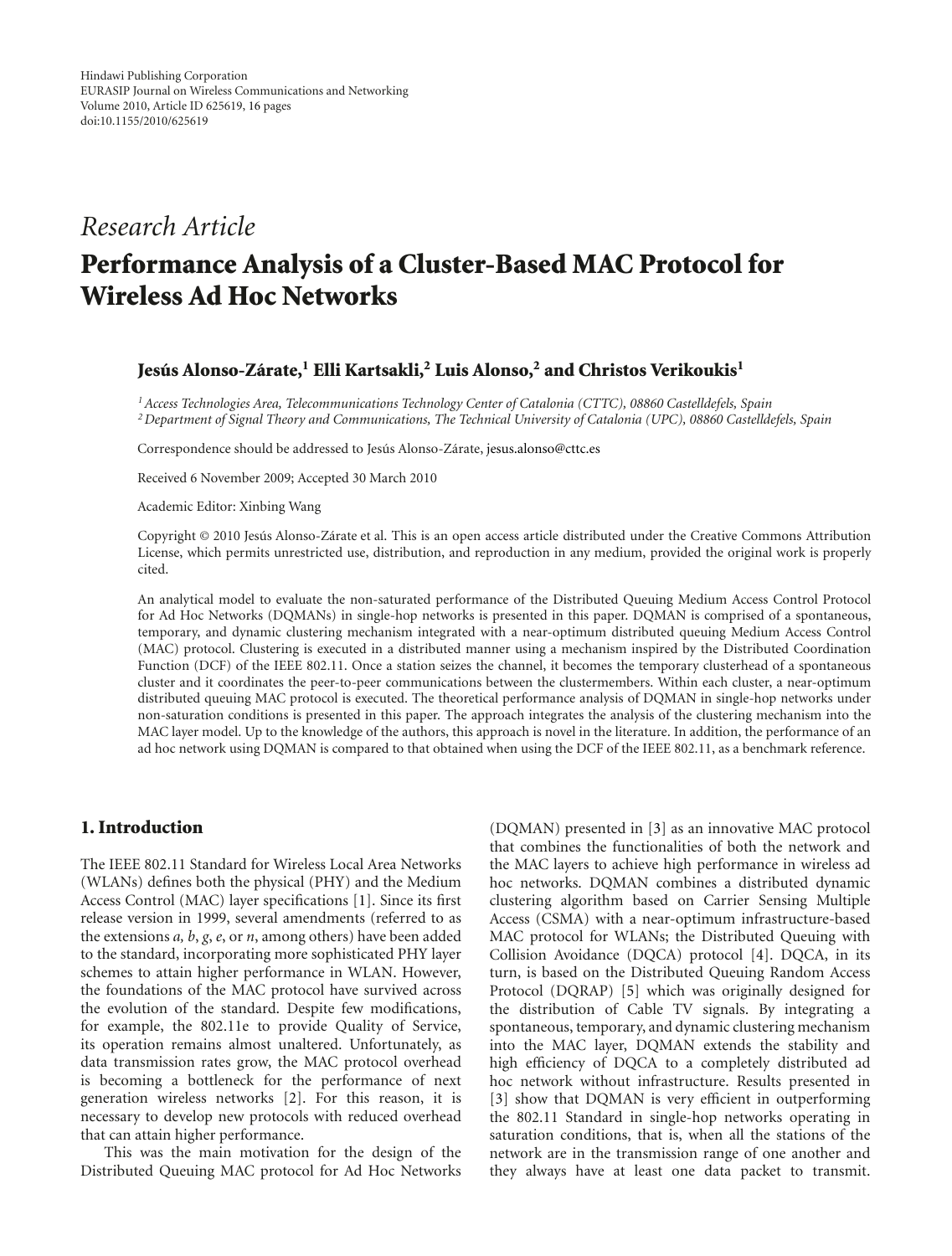# *Research Article*

# **Performance Analysis of a Cluster-Based MAC Protocol for Wireless Ad Hoc Networks**

#### **Jesus Alonso-Z ´ arate, ´ <sup>1</sup> Elli Kartsakli,2 Luis Alonso,2 and Christos Verikoukis1**

*1Access Technologies Area, Telecommunications Technology Center of Catalonia (CTTC), 08860 Castelldefels, Spain 2Department of Signal Theory and Communications, The Technical University of Catalonia (UPC), 08860 Castelldefels, Spain*

Correspondence should be addressed to Jesús Alonso-Zárate, jesus.alonso@cttc.es

Received 6 November 2009; Accepted 30 March 2010

Academic Editor: Xinbing Wang

Copyright © 2010 Jesús Alonso-Zárate et al. This is an open access article distributed under the Creative Commons Attribution License, which permits unrestricted use, distribution, and reproduction in any medium, provided the original work is properly cited.

An analytical model to evaluate the non-saturated performance of the Distributed Queuing Medium Access Control Protocol for Ad Hoc Networks (DQMANs) in single-hop networks is presented in this paper. DQMAN is comprised of a spontaneous, temporary, and dynamic clustering mechanism integrated with a near-optimum distributed queuing Medium Access Control (MAC) protocol. Clustering is executed in a distributed manner using a mechanism inspired by the Distributed Coordination Function (DCF) of the IEEE 802.11. Once a station seizes the channel, it becomes the temporary clusterhead of a spontaneous cluster and it coordinates the peer-to-peer communications between the clustermembers. Within each cluster, a near-optimum distributed queuing MAC protocol is executed. The theoretical performance analysis of DQMAN in single-hop networks under non-saturation conditions is presented in this paper. The approach integrates the analysis of the clustering mechanism into the MAC layer model. Up to the knowledge of the authors, this approach is novel in the literature. In addition, the performance of an ad hoc network using DQMAN is compared to that obtained when using the DCF of the IEEE 802.11, as a benchmark reference.

#### **1. Introduction**

The IEEE 802.11 Standard for Wireless Local Area Networks (WLANs) defines both the physical (PHY) and the Medium Access Control (MAC) layer specifications [1]. Since its first release version in 1999, several amendments (referred to as the extensions *a, b*, *g*, *e*, or *n*, among others) have been added to the standard, incorporating more sophisticated PHY layer schemes to attain higher performance in WLAN. However, the foundations of the MAC protocol have survived across the evolution of the standard. Despite few modifications, for example, the 802.11e to provide Quality of Service, its operation remains almost unaltered. Unfortunately, as data transmission rates grow, the MAC protocol overhead is becoming a bottleneck for the performance of next generation wireless networks [2]. For this reason, it is necessary to develop new protocols with reduced overhead that can attain higher performance.

This was the main motivation for the design of the Distributed Queuing MAC protocol for Ad Hoc Networks

(DQMAN) presented in [3] as an innovative MAC protocol that combines the functionalities of both the network and the MAC layers to achieve high performance in wireless ad hoc networks. DQMAN combines a distributed dynamic clustering algorithm based on Carrier Sensing Multiple Access (CSMA) with a near-optimum infrastructure-based MAC protocol for WLANs; the Distributed Queuing with Collision Avoidance (DQCA) protocol [4]. DQCA, in its turn, is based on the Distributed Queuing Random Access Protocol (DQRAP) [5] which was originally designed for the distribution of Cable TV signals. By integrating a spontaneous, temporary, and dynamic clustering mechanism into the MAC layer, DQMAN extends the stability and high efficiency of DQCA to a completely distributed ad hoc network without infrastructure. Results presented in [3] show that DQMAN is very efficient in outperforming the 802.11 Standard in single-hop networks operating in saturation conditions, that is, when all the stations of the network are in the transmission range of one another and they always have at least one data packet to transmit.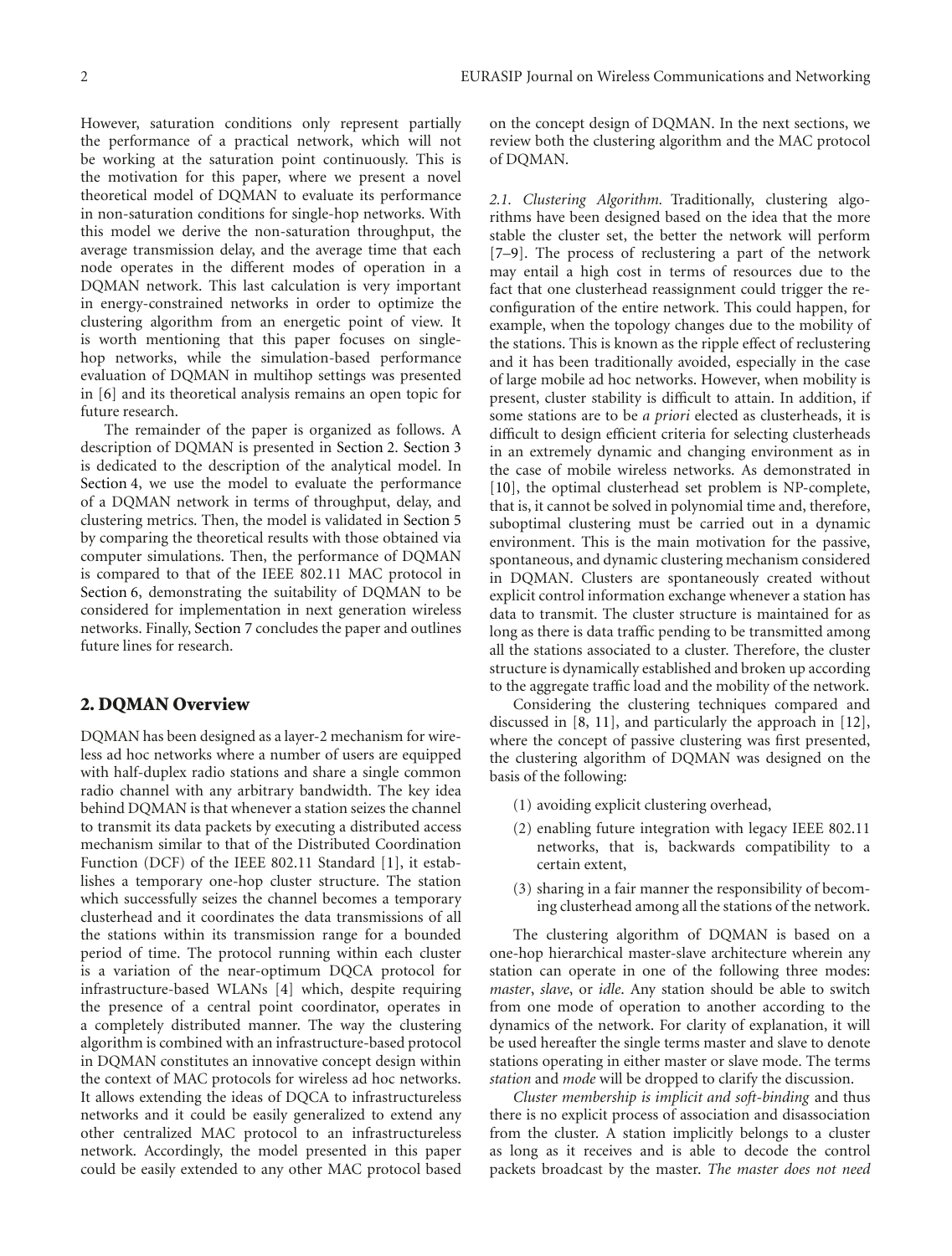However, saturation conditions only represent partially the performance of a practical network, which will not be working at the saturation point continuously. This is the motivation for this paper, where we present a novel theoretical model of DQMAN to evaluate its performance in non-saturation conditions for single-hop networks. With this model we derive the non-saturation throughput, the average transmission delay, and the average time that each node operates in the different modes of operation in a DQMAN network. This last calculation is very important in energy-constrained networks in order to optimize the clustering algorithm from an energetic point of view. It is worth mentioning that this paper focuses on singlehop networks, while the simulation-based performance evaluation of DQMAN in multihop settings was presented in [6] and its theoretical analysis remains an open topic for future research.

The remainder of the paper is organized as follows. A description of DQMAN is presented in Section 2. Section 3 is dedicated to the description of the analytical model. In Section 4, we use the model to evaluate the performance of a DQMAN network in terms of throughput, delay, and clustering metrics. Then, the model is validated in Section 5 by comparing the theoretical results with those obtained via computer simulations. Then, the performance of DQMAN is compared to that of the IEEE 802.11 MAC protocol in Section 6, demonstrating the suitability of DQMAN to be considered for implementation in next generation wireless networks. Finally, Section 7 concludes the paper and outlines future lines for research.

#### **2. DQMAN Overview**

DQMAN has been designed as a layer-2 mechanism for wireless ad hoc networks where a number of users are equipped with half-duplex radio stations and share a single common radio channel with any arbitrary bandwidth. The key idea behind DQMAN is that whenever a station seizes the channel to transmit its data packets by executing a distributed access mechanism similar to that of the Distributed Coordination Function (DCF) of the IEEE 802.11 Standard [1], it establishes a temporary one-hop cluster structure. The station which successfully seizes the channel becomes a temporary clusterhead and it coordinates the data transmissions of all the stations within its transmission range for a bounded period of time. The protocol running within each cluster is a variation of the near-optimum DQCA protocol for infrastructure-based WLANs [4] which, despite requiring the presence of a central point coordinator, operates in a completely distributed manner. The way the clustering algorithm is combined with an infrastructure-based protocol in DQMAN constitutes an innovative concept design within the context of MAC protocols for wireless ad hoc networks. It allows extending the ideas of DQCA to infrastructureless networks and it could be easily generalized to extend any other centralized MAC protocol to an infrastructureless network. Accordingly, the model presented in this paper could be easily extended to any other MAC protocol based

on the concept design of DQMAN. In the next sections, we review both the clustering algorithm and the MAC protocol of DQMAN.

*2.1. Clustering Algorithm.* Traditionally, clustering algorithms have been designed based on the idea that the more stable the cluster set, the better the network will perform [7–9]. The process of reclustering a part of the network may entail a high cost in terms of resources due to the fact that one clusterhead reassignment could trigger the reconfiguration of the entire network. This could happen, for example, when the topology changes due to the mobility of the stations. This is known as the ripple effect of reclustering and it has been traditionally avoided, especially in the case of large mobile ad hoc networks. However, when mobility is present, cluster stability is difficult to attain. In addition, if some stations are to be *a priori* elected as clusterheads, it is difficult to design efficient criteria for selecting clusterheads in an extremely dynamic and changing environment as in the case of mobile wireless networks. As demonstrated in [10], the optimal clusterhead set problem is NP-complete, that is, it cannot be solved in polynomial time and, therefore, suboptimal clustering must be carried out in a dynamic environment. This is the main motivation for the passive, spontaneous, and dynamic clustering mechanism considered in DQMAN. Clusters are spontaneously created without explicit control information exchange whenever a station has data to transmit. The cluster structure is maintained for as long as there is data traffic pending to be transmitted among all the stations associated to a cluster. Therefore, the cluster structure is dynamically established and broken up according to the aggregate traffic load and the mobility of the network.

Considering the clustering techniques compared and discussed in [8, 11], and particularly the approach in [12], where the concept of passive clustering was first presented, the clustering algorithm of DQMAN was designed on the basis of the following:

- (1) avoiding explicit clustering overhead,
- (2) enabling future integration with legacy IEEE 802.11 networks, that is, backwards compatibility to a certain extent,
- (3) sharing in a fair manner the responsibility of becoming clusterhead among all the stations of the network.

The clustering algorithm of DQMAN is based on a one-hop hierarchical master-slave architecture wherein any station can operate in one of the following three modes: *master*, *slave*, or *idle*. Any station should be able to switch from one mode of operation to another according to the dynamics of the network. For clarity of explanation, it will be used hereafter the single terms master and slave to denote stations operating in either master or slave mode. The terms *station* and *mode* will be dropped to clarify the discussion.

*Cluster membership is implicit and soft-binding* and thus there is no explicit process of association and disassociation from the cluster. A station implicitly belongs to a cluster as long as it receives and is able to decode the control packets broadcast by the master. *The master does not need*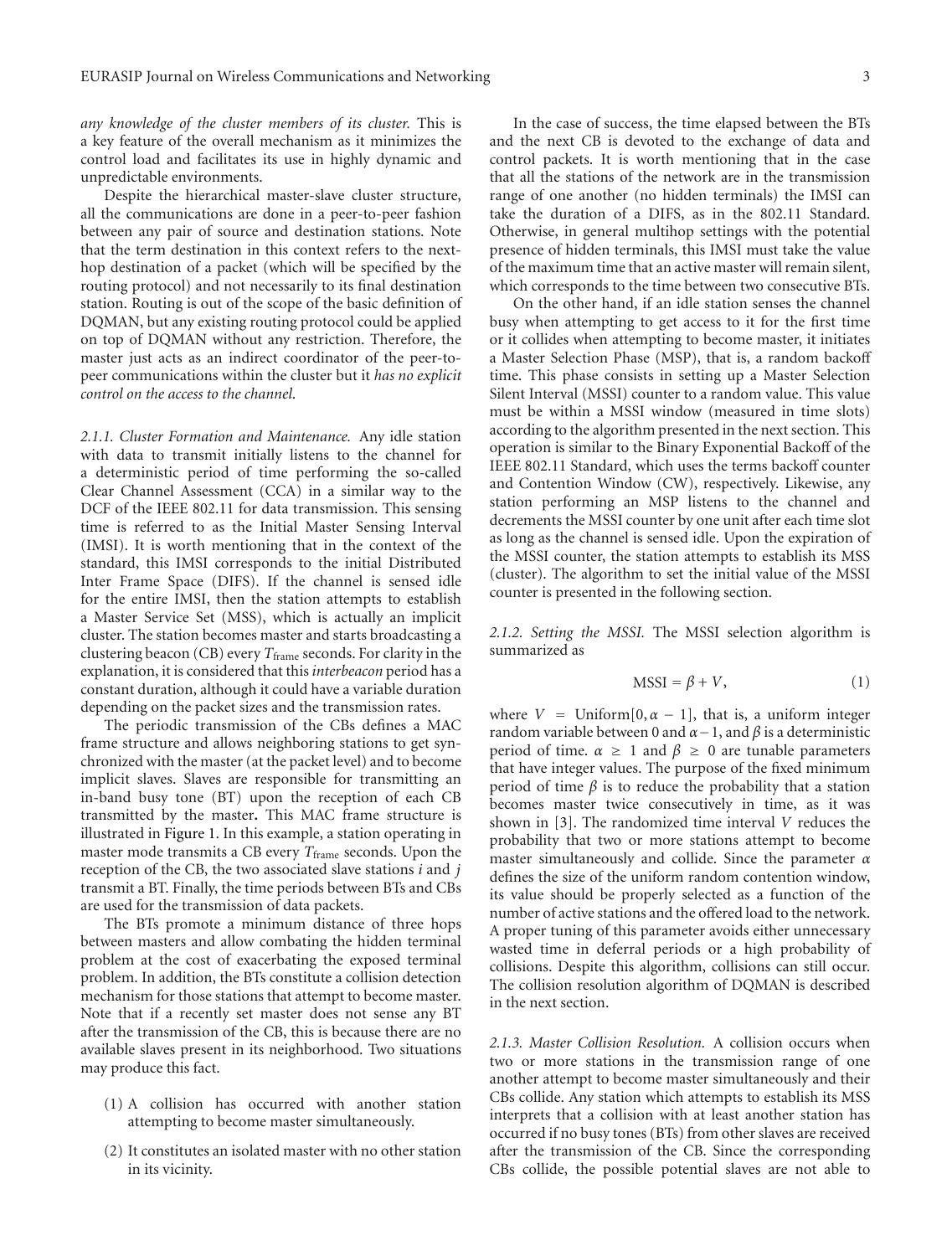*any knowledge of the cluster members of its cluster.* This is a key feature of the overall mechanism as it minimizes the control load and facilitates its use in highly dynamic and unpredictable environments.

Despite the hierarchical master-slave cluster structure, all the communications are done in a peer-to-peer fashion between any pair of source and destination stations. Note that the term destination in this context refers to the nexthop destination of a packet (which will be specified by the routing protocol) and not necessarily to its final destination station. Routing is out of the scope of the basic definition of DQMAN, but any existing routing protocol could be applied on top of DQMAN without any restriction. Therefore, the master just acts as an indirect coordinator of the peer-topeer communications within the cluster but it *has no explicit control on the access to the channel*.

*2.1.1. Cluster Formation and Maintenance.* Any idle station with data to transmit initially listens to the channel for a deterministic period of time performing the so-called Clear Channel Assessment (CCA) in a similar way to the DCF of the IEEE 802.11 for data transmission. This sensing time is referred to as the Initial Master Sensing Interval (IMSI). It is worth mentioning that in the context of the standard, this IMSI corresponds to the initial Distributed Inter Frame Space (DIFS). If the channel is sensed idle for the entire IMSI, then the station attempts to establish a Master Service Set (MSS), which is actually an implicit cluster. The station becomes master and starts broadcasting a clustering beacon (CB) every *T*<sub>frame</sub> seconds. For clarity in the explanation, it is considered that this *interbeacon* period has a constant duration, although it could have a variable duration depending on the packet sizes and the transmission rates.

The periodic transmission of the CBs defines a MAC frame structure and allows neighboring stations to get synchronized with the master (at the packet level) and to become implicit slaves. Slaves are responsible for transmitting an in-band busy tone (BT) upon the reception of each CB transmitted by the master**.** This MAC frame structure is illustrated in Figure 1. In this example, a station operating in master mode transmits a CB every *T*<sub>frame</sub> seconds. Upon the reception of the CB, the two associated slave stations *i* and *j* transmit a BT. Finally, the time periods between BTs and CBs are used for the transmission of data packets.

The BTs promote a minimum distance of three hops between masters and allow combating the hidden terminal problem at the cost of exacerbating the exposed terminal problem. In addition, the BTs constitute a collision detection mechanism for those stations that attempt to become master. Note that if a recently set master does not sense any BT after the transmission of the CB, this is because there are no available slaves present in its neighborhood. Two situations may produce this fact.

- (1) A collision has occurred with another station attempting to become master simultaneously.
- (2) It constitutes an isolated master with no other station in its vicinity.

In the case of success, the time elapsed between the BTs and the next CB is devoted to the exchange of data and control packets. It is worth mentioning that in the case that all the stations of the network are in the transmission range of one another (no hidden terminals) the IMSI can take the duration of a DIFS, as in the 802.11 Standard. Otherwise, in general multihop settings with the potential presence of hidden terminals, this IMSI must take the value of the maximum time that an active master will remain silent, which corresponds to the time between two consecutive BTs.

On the other hand, if an idle station senses the channel busy when attempting to get access to it for the first time or it collides when attempting to become master, it initiates a Master Selection Phase (MSP), that is, a random backoff time. This phase consists in setting up a Master Selection Silent Interval (MSSI) counter to a random value. This value must be within a MSSI window (measured in time slots) according to the algorithm presented in the next section. This operation is similar to the Binary Exponential Backoff of the IEEE 802.11 Standard, which uses the terms backoff counter and Contention Window (CW), respectively. Likewise, any station performing an MSP listens to the channel and decrements the MSSI counter by one unit after each time slot as long as the channel is sensed idle. Upon the expiration of the MSSI counter, the station attempts to establish its MSS (cluster). The algorithm to set the initial value of the MSSI counter is presented in the following section.

*2.1.2. Setting the MSSI.* The MSSI selection algorithm is summarized as

$$
MSSI = \beta + V, \tag{1}
$$

where  $V = \text{Uniform}[0, \alpha - 1]$ , that is, a uniform integer random variable between 0 and  $\alpha-1$ , and  $\beta$  is a deterministic period of time. *α* ≥ 1 and *β* ≥ 0 are tunable parameters that have integer values. The purpose of the fixed minimum period of time *β* is to reduce the probability that a station becomes master twice consecutively in time, as it was shown in [3]. The randomized time interval *V* reduces the probability that two or more stations attempt to become master simultaneously and collide. Since the parameter *α* defines the size of the uniform random contention window, its value should be properly selected as a function of the number of active stations and the offered load to the network. A proper tuning of this parameter avoids either unnecessary wasted time in deferral periods or a high probability of collisions. Despite this algorithm, collisions can still occur. The collision resolution algorithm of DQMAN is described in the next section.

*2.1.3. Master Collision Resolution.* A collision occurs when two or more stations in the transmission range of one another attempt to become master simultaneously and their CBs collide. Any station which attempts to establish its MSS interprets that a collision with at least another station has occurred if no busy tones (BTs) from other slaves are received after the transmission of the CB. Since the corresponding CBs collide, the possible potential slaves are not able to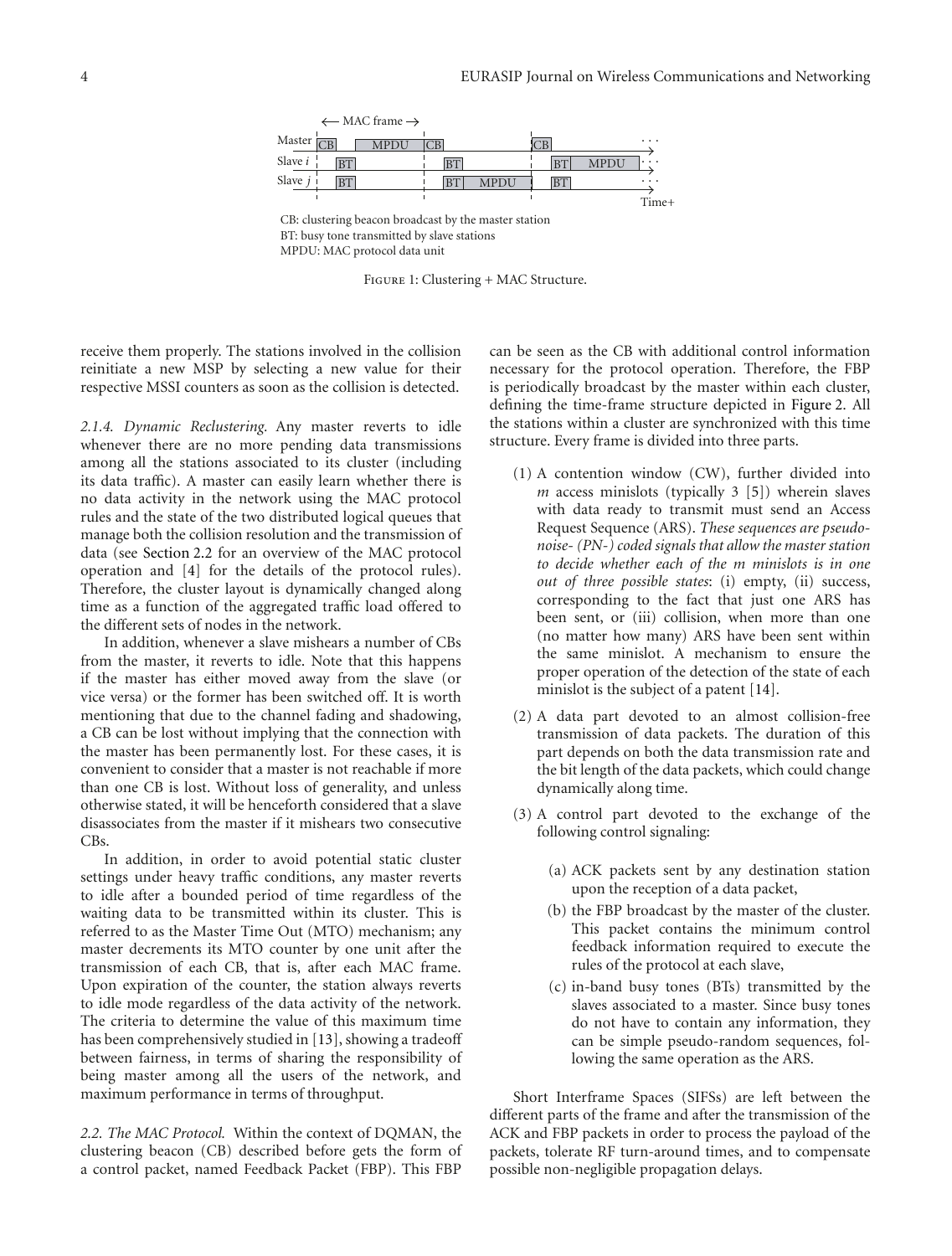

CB: clustering beacon broadcast by the master station BT: busy tone transmitted by slave stations MPDU: MAC protocol data unit

Figure 1: Clustering + MAC Structure.

receive them properly. The stations involved in the collision reinitiate a new MSP by selecting a new value for their respective MSSI counters as soon as the collision is detected.

*2.1.4. Dynamic Reclustering.* Any master reverts to idle whenever there are no more pending data transmissions among all the stations associated to its cluster (including its data traffic). A master can easily learn whether there is no data activity in the network using the MAC protocol rules and the state of the two distributed logical queues that manage both the collision resolution and the transmission of data (see Section 2.2 for an overview of the MAC protocol operation and [4] for the details of the protocol rules). Therefore, the cluster layout is dynamically changed along time as a function of the aggregated traffic load offered to the different sets of nodes in the network.

In addition, whenever a slave mishears a number of CBs from the master, it reverts to idle. Note that this happens if the master has either moved away from the slave (or vice versa) or the former has been switched off. It is worth mentioning that due to the channel fading and shadowing, a CB can be lost without implying that the connection with the master has been permanently lost. For these cases, it is convenient to consider that a master is not reachable if more than one CB is lost. Without loss of generality, and unless otherwise stated, it will be henceforth considered that a slave disassociates from the master if it mishears two consecutive CBs.

In addition, in order to avoid potential static cluster settings under heavy traffic conditions, any master reverts to idle after a bounded period of time regardless of the waiting data to be transmitted within its cluster. This is referred to as the Master Time Out (MTO) mechanism; any master decrements its MTO counter by one unit after the transmission of each CB, that is, after each MAC frame. Upon expiration of the counter, the station always reverts to idle mode regardless of the data activity of the network. The criteria to determine the value of this maximum time has been comprehensively studied in [13], showing a tradeoff between fairness, in terms of sharing the responsibility of being master among all the users of the network, and maximum performance in terms of throughput.

*2.2. The MAC Protocol.* Within the context of DQMAN, the clustering beacon (CB) described before gets the form of a control packet, named Feedback Packet (FBP). This FBP

can be seen as the CB with additional control information necessary for the protocol operation. Therefore, the FBP is periodically broadcast by the master within each cluster, defining the time-frame structure depicted in Figure 2. All the stations within a cluster are synchronized with this time structure. Every frame is divided into three parts.

- (1) A contention window (CW), further divided into *m* access minislots (typically 3 [5]) wherein slaves with data ready to transmit must send an Access Request Sequence (ARS). *These sequences are pseudonoise- (PN-) coded signals that allow the master station to decide whether each of the m minislots is in one out of three possible states*: (i) empty, (ii) success, corresponding to the fact that just one ARS has been sent, or (iii) collision, when more than one (no matter how many) ARS have been sent within the same minislot. A mechanism to ensure the proper operation of the detection of the state of each minislot is the subject of a patent [14].
- (2) A data part devoted to an almost collision-free transmission of data packets. The duration of this part depends on both the data transmission rate and the bit length of the data packets, which could change dynamically along time.
- (3) A control part devoted to the exchange of the following control signaling:
	- (a) ACK packets sent by any destination station upon the reception of a data packet,
	- (b) the FBP broadcast by the master of the cluster. This packet contains the minimum control feedback information required to execute the rules of the protocol at each slave,
	- (c) in-band busy tones (BTs) transmitted by the slaves associated to a master. Since busy tones do not have to contain any information, they can be simple pseudo-random sequences, following the same operation as the ARS.

Short Interframe Spaces (SIFSs) are left between the different parts of the frame and after the transmission of the ACK and FBP packets in order to process the payload of the packets, tolerate RF turn-around times, and to compensate possible non-negligible propagation delays.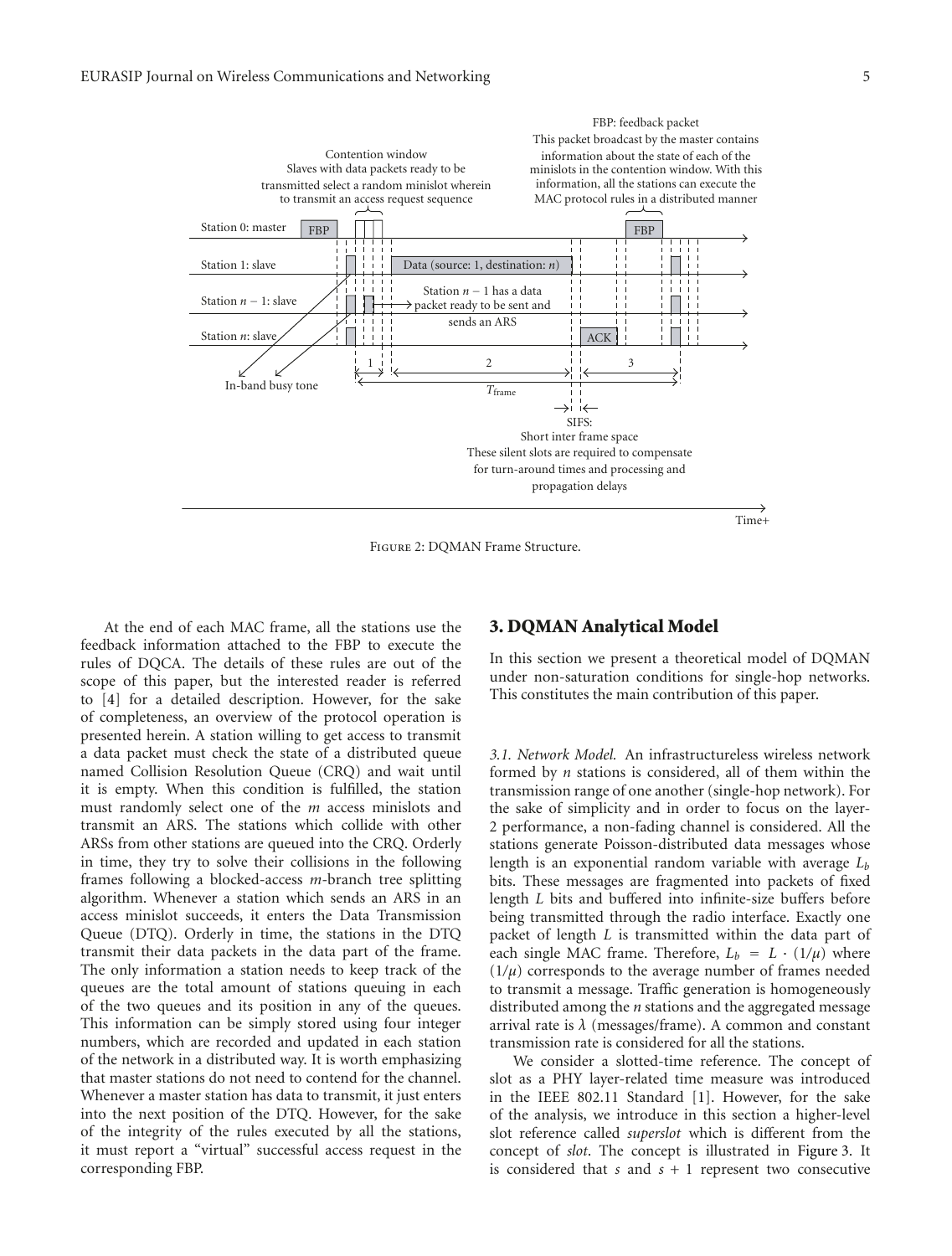

Figure 2: DQMAN Frame Structure.

At the end of each MAC frame, all the stations use the feedback information attached to the FBP to execute the rules of DQCA. The details of these rules are out of the scope of this paper, but the interested reader is referred to [4] for a detailed description. However, for the sake of completeness, an overview of the protocol operation is presented herein. A station willing to get access to transmit a data packet must check the state of a distributed queue named Collision Resolution Queue (CRQ) and wait until it is empty. When this condition is fulfilled, the station must randomly select one of the *m* access minislots and transmit an ARS. The stations which collide with other ARSs from other stations are queued into the CRQ. Orderly in time, they try to solve their collisions in the following frames following a blocked-access *m-*branch tree splitting algorithm. Whenever a station which sends an ARS in an access minislot succeeds, it enters the Data Transmission Queue (DTQ). Orderly in time, the stations in the DTQ transmit their data packets in the data part of the frame. The only information a station needs to keep track of the queues are the total amount of stations queuing in each of the two queues and its position in any of the queues. This information can be simply stored using four integer numbers, which are recorded and updated in each station of the network in a distributed way. It is worth emphasizing that master stations do not need to contend for the channel. Whenever a master station has data to transmit, it just enters into the next position of the DTQ. However, for the sake of the integrity of the rules executed by all the stations, it must report a "virtual" successful access request in the corresponding FBP.

#### **3. DQMAN Analytical Model**

In this section we present a theoretical model of DQMAN under non-saturation conditions for single-hop networks. This constitutes the main contribution of this paper.

*3.1. Network Model.* An infrastructureless wireless network formed by *n* stations is considered, all of them within the transmission range of one another (single-hop network). For the sake of simplicity and in order to focus on the layer-2 performance, a non-fading channel is considered. All the stations generate Poisson-distributed data messages whose length is an exponential random variable with average *L<sup>b</sup>* bits. These messages are fragmented into packets of fixed length *L* bits and buffered into infinite-size buffers before being transmitted through the radio interface. Exactly one packet of length *L* is transmitted within the data part of each single MAC frame. Therefore,  $L_b = L \cdot (1/\mu)$  where  $(1/\mu)$  corresponds to the average number of frames needed to transmit a message. Traffic generation is homogeneously distributed among the *n* stations and the aggregated message arrival rate is *λ* (messages/frame). A common and constant transmission rate is considered for all the stations.

We consider a slotted-time reference. The concept of slot as a PHY layer-related time measure was introduced in the IEEE 802.11 Standard [1]. However, for the sake of the analysis, we introduce in this section a higher-level slot reference called *superslot* which is different from the concept of *slot*. The concept is illustrated in Figure 3. It is considered that *s* and *s* + 1 represent two consecutive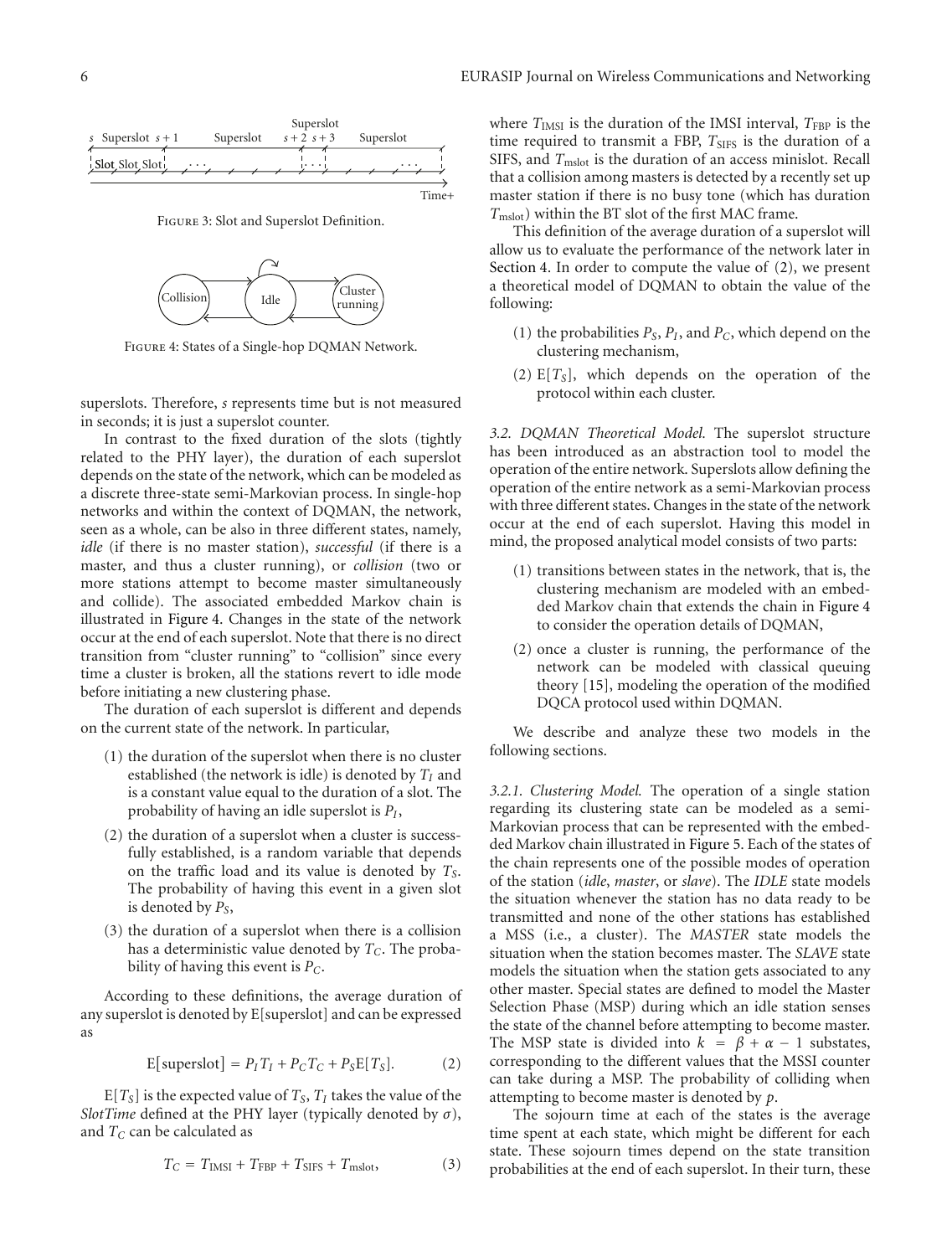

Figure 3: Slot and Superslot Definition.



Figure 4: States of a Single-hop DQMAN Network.

superslots. Therefore, *s* represents time but is not measured in seconds; it is just a superslot counter.

In contrast to the fixed duration of the slots (tightly related to the PHY layer), the duration of each superslot depends on the state of the network, which can be modeled as a discrete three-state semi-Markovian process. In single-hop networks and within the context of DQMAN, the network, seen as a whole, can be also in three different states, namely, *idle* (if there is no master station), *successful* (if there is a master, and thus a cluster running), or *collision* (two or more stations attempt to become master simultaneously and collide). The associated embedded Markov chain is illustrated in Figure 4. Changes in the state of the network occur at the end of each superslot. Note that there is no direct transition from "cluster running" to "collision" since every time a cluster is broken, all the stations revert to idle mode before initiating a new clustering phase.

The duration of each superslot is different and depends on the current state of the network. In particular,

- (1) the duration of the superslot when there is no cluster established (the network is idle) is denoted by  $T_I$  and is a constant value equal to the duration of a slot. The probability of having an idle superslot is *PI*,
- (2) the duration of a superslot when a cluster is successfully established, is a random variable that depends on the traffic load and its value is denoted by *TS*. The probability of having this event in a given slot is denoted by *PS*,
- (3) the duration of a superslot when there is a collision has a deterministic value denoted by  $T_C$ . The probability of having this event is *PC*.

According to these definitions, the average duration of any superslot is denoted by E[superslot] and can be expressed as

$$
E[superslot] = PITI + PCTC + PSE[TS].
$$
 (2)

 $E[T_S]$  is the expected value of  $T_S$ ,  $T_I$  takes the value of the *SlotTime* defined at the PHY layer (typically denoted by *σ*), and  $T_C$  can be calculated as

$$
T_C = T_{IMSI} + T_{FBP} + T_{SIFS} + T_{mslot},
$$
 (3)

where  $T_{IMSI}$  is the duration of the IMSI interval,  $T_{FBP}$  is the time required to transmit a FBP, T<sub>SIFS</sub> is the duration of a SIFS, and  $T_{\text{mslot}}$  is the duration of an access minislot. Recall that a collision among masters is detected by a recently set up master station if there is no busy tone (which has duration *T*mslot) within the BT slot of the first MAC frame.

This definition of the average duration of a superslot will allow us to evaluate the performance of the network later in Section 4. In order to compute the value of (2), we present a theoretical model of DQMAN to obtain the value of the following:

- (1) the probabilities  $P_S$ ,  $P_I$ , and  $P_C$ , which depend on the clustering mechanism,
- (2) E[*TS*], which depends on the operation of the protocol within each cluster.

*3.2. DQMAN Theoretical Model.* The superslot structure has been introduced as an abstraction tool to model the operation of the entire network. Superslots allow defining the operation of the entire network as a semi-Markovian process with three different states. Changes in the state of the network occur at the end of each superslot. Having this model in mind, the proposed analytical model consists of two parts:

- (1) transitions between states in the network, that is, the clustering mechanism are modeled with an embedded Markov chain that extends the chain in Figure 4 to consider the operation details of DQMAN,
- (2) once a cluster is running, the performance of the network can be modeled with classical queuing theory [15], modeling the operation of the modified DQCA protocol used within DQMAN.

We describe and analyze these two models in the following sections.

*3.2.1. Clustering Model.* The operation of a single station regarding its clustering state can be modeled as a semi-Markovian process that can be represented with the embedded Markov chain illustrated in Figure 5. Each of the states of the chain represents one of the possible modes of operation of the station (*idle*, *master*, or *slave*). The *IDLE* state models the situation whenever the station has no data ready to be transmitted and none of the other stations has established a MSS (i.e., a cluster). The *MASTER* state models the situation when the station becomes master. The *SLAVE* state models the situation when the station gets associated to any other master. Special states are defined to model the Master Selection Phase (MSP) during which an idle station senses the state of the channel before attempting to become master. The MSP state is divided into  $k = \beta + \alpha - 1$  substates, corresponding to the different values that the MSSI counter can take during a MSP. The probability of colliding when attempting to become master is denoted by *p*.

The sojourn time at each of the states is the average time spent at each state, which might be different for each state. These sojourn times depend on the state transition probabilities at the end of each superslot. In their turn, these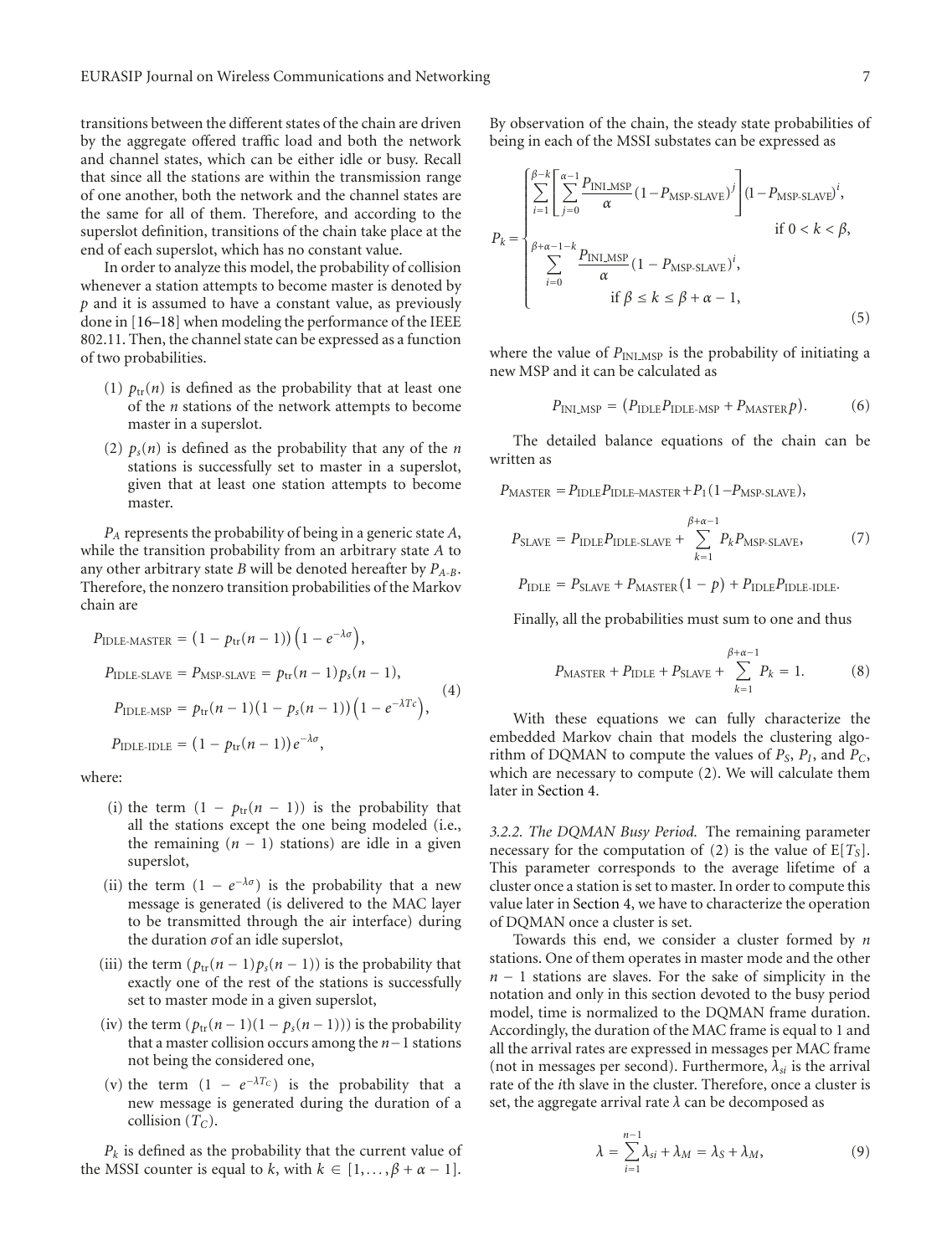transitions between the different states of the chain are driven by the aggregate offered traffic load and both the network and channel states, which can be either idle or busy. Recall that since all the stations are within the transmission range of one another, both the network and the channel states are the same for all of them. Therefore, and according to the superslot definition, transitions of the chain take place at the end of each superslot, which has no constant value.

In order to analyze this model, the probability of collision whenever a station attempts to become master is denoted by *p* and it is assumed to have a constant value, as previously done in [16–18] when modeling the performance of the IEEE 802.11. Then, the channel state can be expressed as a function of two probabilities.

- (1)  $p_{tr}(n)$  is defined as the probability that at least one of the *n* stations of the network attempts to become master in a superslot.
- (2)  $p_s(n)$  is defined as the probability that any of the *n* stations is successfully set to master in a superslot, given that at least one station attempts to become master.

*PA* represents the probability of being in a generic state *A*, while the transition probability from an arbitrary state *A* to any other arbitrary state *B* will be denoted hereafter by  $P_{A-B}$ . Therefore, the nonzero transition probabilities of the Markov chain are

$$
P_{\text{IDLE-MASTER}} = (1 - p_{\text{tr}}(n-1)) (1 - e^{-\lambda \sigma}),
$$
  
\n
$$
P_{\text{IDLE-SLAVE}} = P_{\text{MSP-SLAVE}} = p_{\text{tr}}(n-1) p_s(n-1),
$$
  
\n
$$
P_{\text{IDLE-MSP}} = p_{\text{tr}}(n-1) (1 - p_s(n-1)) (1 - e^{-\lambda T_c}),
$$
  
\n
$$
P_{\text{IDLE-DLE}} = (1 - p_{\text{tr}}(n-1)) e^{-\lambda \sigma},
$$
 (4)

where:

- (i) the term  $(1 p_{tr}(n 1))$  is the probability that all the stations except the one being modeled (i.e., the remaining  $(n - 1)$  stations) are idle in a given superslot,
- (ii) the term  $(1 e^{-\lambda \sigma})$  is the probability that a new message is generated (is delivered to the MAC layer to be transmitted through the air interface) during the duration *σ*of an idle superslot,
- (iii) the term  $(p_{tr}(n-1)p_s(n-1))$  is the probability that exactly one of the rest of the stations is successfully set to master mode in a given superslot,
- (iv) the term  $(p_{tr}(n-1)(1-p_s(n-1)))$  is the probability that a master collision occurs among the *n*−1 stations not being the considered one,
- (v) the term  $(1 e^{-\lambda T_c})$  is the probability that a new message is generated during the duration of a collision  $(T_C)$ .

 $P_k$  is defined as the probability that the current value of the MSSI counter is equal to *k*, with  $k \in [1, \ldots, \beta + \alpha - 1]$ .

By observation of the chain, the steady state probabilities of being in each of the MSSI substates can be expressed as

$$
P_{k} = \begin{cases} \sum_{i=1}^{\beta-k} \left[ \sum_{j=0}^{\alpha-1} \frac{P_{\text{INI\_MSP}}}{\alpha} (1 - P_{\text{MSP-SLAVE}})^{j} \right] (1 - P_{\text{MSP-SLAVE}})^{i}, & \text{if } 0 < k < \beta, \\ \sum_{i=0}^{\beta+\alpha-1-k} \frac{P_{\text{INI\_MSP}}}{\alpha} (1 - P_{\text{MSP-SLAVE}})^{i}, & \text{if } \beta \le k \le \beta + \alpha - 1, \end{cases} \tag{5}
$$

where the value of  $P_{INIMSP}$  is the probability of initiating a new MSP and it can be calculated as

$$
P_{\text{INI\_MSP}} = (P_{\text{IDLE}} P_{\text{IDLE-MSP}} + P_{\text{MASTER}} p). \tag{6}
$$

The detailed balance equations of the chain can be written as

 $P_{\text{MASTER}} = P_{\text{IDLE}} P_{\text{IDLE-MASTER}} + P_1(1-P_{\text{MSP-SLAVE}}),$ 

$$
P_{\text{SLAVE}} = P_{\text{IDLE}} P_{\text{IDLE-SLAVE}} + \sum_{k=1}^{\beta + \alpha - 1} P_k P_{\text{MSP-SLAVE}}, \tag{7}
$$

 $P_{\text{IDLE}} = P_{\text{SLAVE}} + P_{\text{MASTER}}(1 - p) + P_{\text{IDLE}} P_{\text{IDLE-DLE}}.$ 

Finally, all the probabilities must sum to one and thus

$$
P_{\text{MASTER}} + P_{\text{IDLE}} + P_{\text{SLAVE}} + \sum_{k=1}^{\beta + \alpha - 1} P_k = 1. \tag{8}
$$

With these equations we can fully characterize the embedded Markov chain that models the clustering algorithm of DQMAN to compute the values of  $P_S$ ,  $P_I$ , and  $P_C$ , which are necessary to compute (2). We will calculate them later in Section 4.

*3.2.2. The DQMAN Busy Period.* The remaining parameter necessary for the computation of (2) is the value of  $E[T<sub>S</sub>]$ . This parameter corresponds to the average lifetime of a cluster once a station is set to master. In order to compute this value later in Section 4, we have to characterize the operation of DQMAN once a cluster is set.

Towards this end, we consider a cluster formed by *n* stations. One of them operates in master mode and the other *n* − 1 stations are slaves. For the sake of simplicity in the notation and only in this section devoted to the busy period model, time is normalized to the DQMAN frame duration. Accordingly, the duration of the MAC frame is equal to 1 and all the arrival rates are expressed in messages per MAC frame (not in messages per second). Furthermore,  $\lambda_{si}$  is the arrival rate of the *i*th slave in the cluster. Therefore, once a cluster is set, the aggregate arrival rate  $\lambda$  can be decomposed as

$$
\lambda = \sum_{i=1}^{n-1} \lambda_{si} + \lambda_M = \lambda_S + \lambda_M,
$$
\n(9)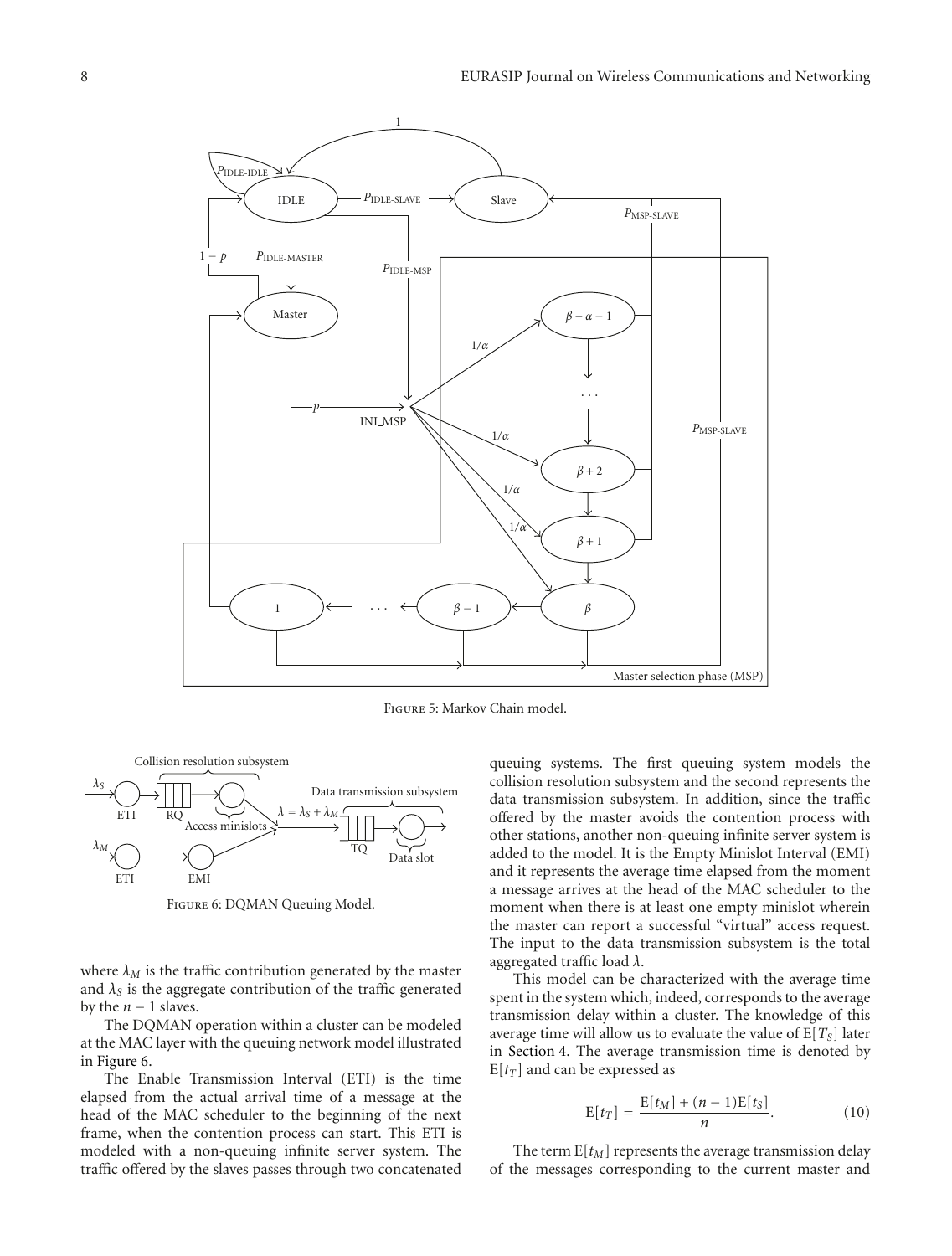

Figure 5: Markov Chain model.



Figure 6: DQMAN Queuing Model.

where  $\lambda_M$  is the traffic contribution generated by the master and  $\lambda_S$  is the aggregate contribution of the traffic generated by the  $n-1$  slaves.

The DQMAN operation within a cluster can be modeled at the MAC layer with the queuing network model illustrated in Figure 6.

The Enable Transmission Interval (ETI) is the time elapsed from the actual arrival time of a message at the head of the MAC scheduler to the beginning of the next frame, when the contention process can start. This ETI is modeled with a non-queuing infinite server system. The traffic offered by the slaves passes through two concatenated queuing systems. The first queuing system models the collision resolution subsystem and the second represents the data transmission subsystem. In addition, since the traffic offered by the master avoids the contention process with other stations, another non-queuing infinite server system is added to the model. It is the Empty Minislot Interval (EMI) and it represents the average time elapsed from the moment a message arrives at the head of the MAC scheduler to the moment when there is at least one empty minislot wherein the master can report a successful "virtual" access request. The input to the data transmission subsystem is the total aggregated traffic load *λ*.

This model can be characterized with the average time spent in the system which, indeed, corresponds to the average transmission delay within a cluster. The knowledge of this average time will allow us to evaluate the value of  $E[T<sub>S</sub>]$  later in Section 4. The average transmission time is denoted by  $\mathrm{E}[t_T]$  and can be expressed as

$$
E[t_T] = \frac{E[t_M] + (n-1)E[t_S]}{n}.
$$
 (10)

The term  $E[t_M]$  represents the average transmission delay of the messages corresponding to the current master and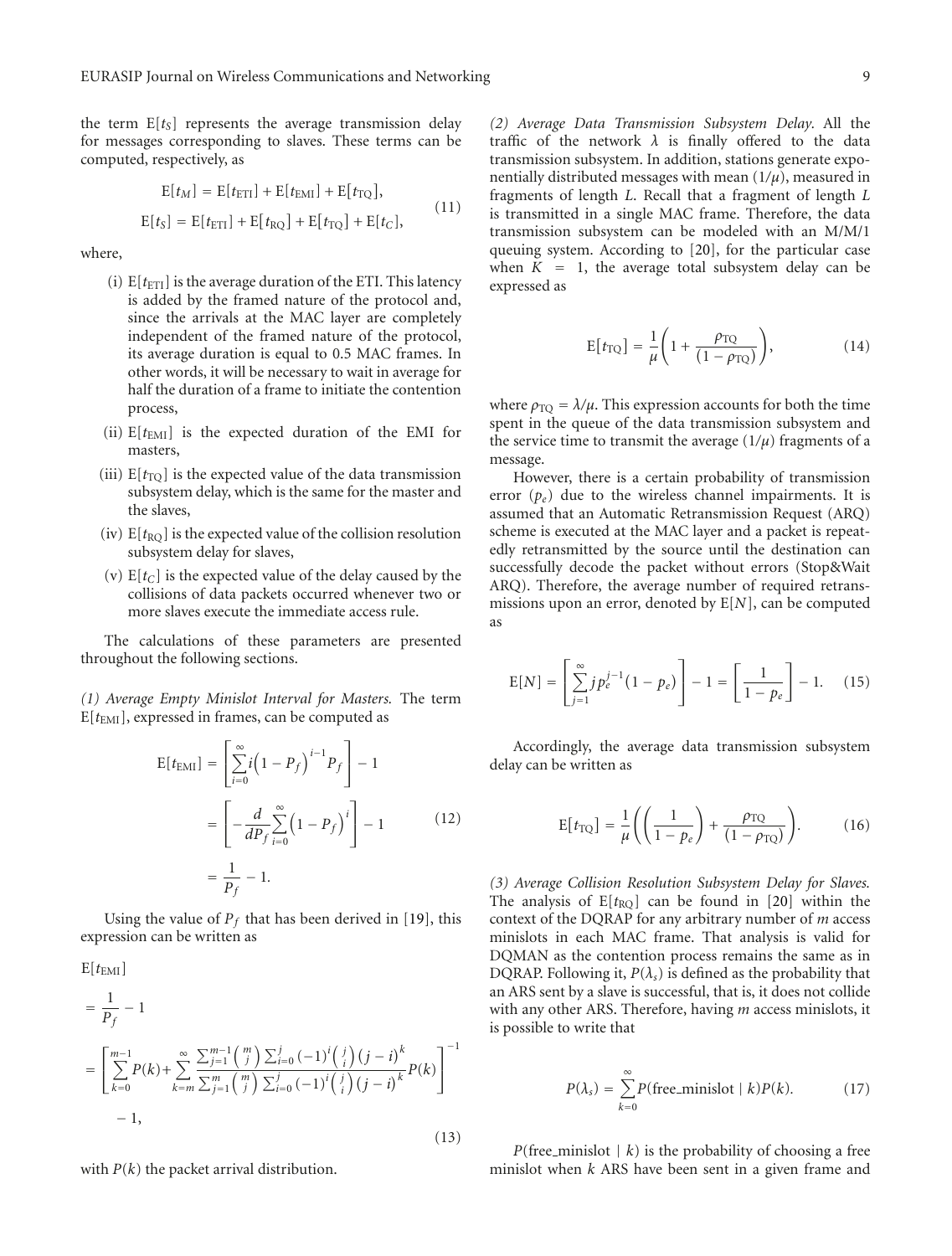the term  $E[t<sub>S</sub>]$  represents the average transmission delay for messages corresponding to slaves. These terms can be computed, respectively, as

$$
E[t_M] = E[t_{\text{ETI}}] + E[t_{\text{EMI}}] + E[t_{\text{TQ}}],
$$
  
\n
$$
E[t_S] = E[t_{\text{ETI}}] + E[t_{\text{RQ}}] + E[t_{\text{TQ}}] + E[t_C],
$$
\n(11)

where,

- (i)  $E[t_{ETI}]$  is the average duration of the ETI. This latency is added by the framed nature of the protocol and, since the arrivals at the MAC layer are completely independent of the framed nature of the protocol, its average duration is equal to 0.5 MAC frames. In other words, it will be necessary to wait in average for half the duration of a frame to initiate the contention process,
- (ii)  $E[t_{EMI}]$  is the expected duration of the EMI for masters,
- (iii)  $E[t_{TO}]$  is the expected value of the data transmission subsystem delay, which is the same for the master and the slaves,
- (iv)  $E[t_{RO}]$  is the expected value of the collision resolution subsystem delay for slaves,
- (v)  $E[t_C]$  is the expected value of the delay caused by the collisions of data packets occurred whenever two or more slaves execute the immediate access rule.

The calculations of these parameters are presented throughout the following sections.

*(1) Average Empty Minislot Interval for Masters.* The term  $E[t_{EMI}]$ , expressed in frames, can be computed as

$$
E[tEMI] = \left[\sum_{i=0}^{\infty} i \left(1 - P_f\right)^{i-1} P_f\right] - 1
$$

$$
= \left[-\frac{d}{dP_f} \sum_{i=0}^{\infty} \left(1 - P_f\right)^i\right] - 1
$$

$$
= \frac{1}{P_f} - 1.
$$
 (12)

Using the value of  $P_f$  that has been derived in [19], this expression can be written as

 $E[t_{EMI}]$ 

$$
= \frac{1}{P_f} - 1
$$
  
= 
$$
\left[ \sum_{k=0}^{m-1} P(k) + \sum_{k=m}^{\infty} \frac{\sum_{j=1}^{m-1} {m \choose j} \sum_{i=0}^{j} (-1)^i {j \choose i} (j-i)^k}{-1} - 1, \right]
$$
  
= 1, (13)

with *P*(*k*) the packet arrival distribution.

*(2) Average Data Transmission Subsystem Delay.* All the traffic of the network  $\lambda$  is finally offered to the data transmission subsystem. In addition, stations generate exponentially distributed messages with mean (1*/μ*), measured in fragments of length *L*. Recall that a fragment of length *L* is transmitted in a single MAC frame. Therefore, the data transmission subsystem can be modeled with an M/M/1 queuing system. According to [20], for the particular case when  $K = 1$ , the average total subsystem delay can be expressed as

$$
E[t_{TQ}] = \frac{1}{\mu} \left( 1 + \frac{\rho_{TQ}}{(1 - \rho_{TQ})} \right), \tag{14}
$$

where  $\rho_{\text{TO}} = \lambda/\mu$ . This expression accounts for both the time spent in the queue of the data transmission subsystem and the service time to transmit the average  $(1/\mu)$  fragments of a message.

However, there is a certain probability of transmission error  $(p_e)$  due to the wireless channel impairments. It is assumed that an Automatic Retransmission Request (ARQ) scheme is executed at the MAC layer and a packet is repeatedly retransmitted by the source until the destination can successfully decode the packet without errors (Stop&Wait ARQ). Therefore, the average number of required retransmissions upon an error, denoted by E[*N*], can be computed as

$$
E[N] = \left[\sum_{j=1}^{\infty} j p_e^{j-1} (1 - p_e)\right] - 1 = \left[\frac{1}{1 - p_e}\right] - 1.
$$
 (15)

Accordingly, the average data transmission subsystem delay can be written as

$$
E[t_{TQ}] = \frac{1}{\mu} \left( \left( \frac{1}{1 - p_e} \right) + \frac{\rho_{TQ}}{(1 - \rho_{TQ})} \right). \tag{16}
$$

*(3) Average Collision Resolution Subsystem Delay for Slaves.* The analysis of  $E[t_{RO}]$  can be found in [20] within the context of the DQRAP for any arbitrary number of *m* access minislots in each MAC frame. That analysis is valid for DQMAN as the contention process remains the same as in DQRAP. Following it,  $P(\lambda_s)$  is defined as the probability that an ARS sent by a slave is successful, that is, it does not collide with any other ARS. Therefore, having *m* access minislots, it is possible to write that

$$
P(\lambda_s) = \sum_{k=0}^{\infty} P(\text{free-minislot} \mid k) P(k). \tag{17}
$$

*P*(free\_minislot  $| k$ ) is the probability of choosing a free minislot when *k* ARS have been sent in a given frame and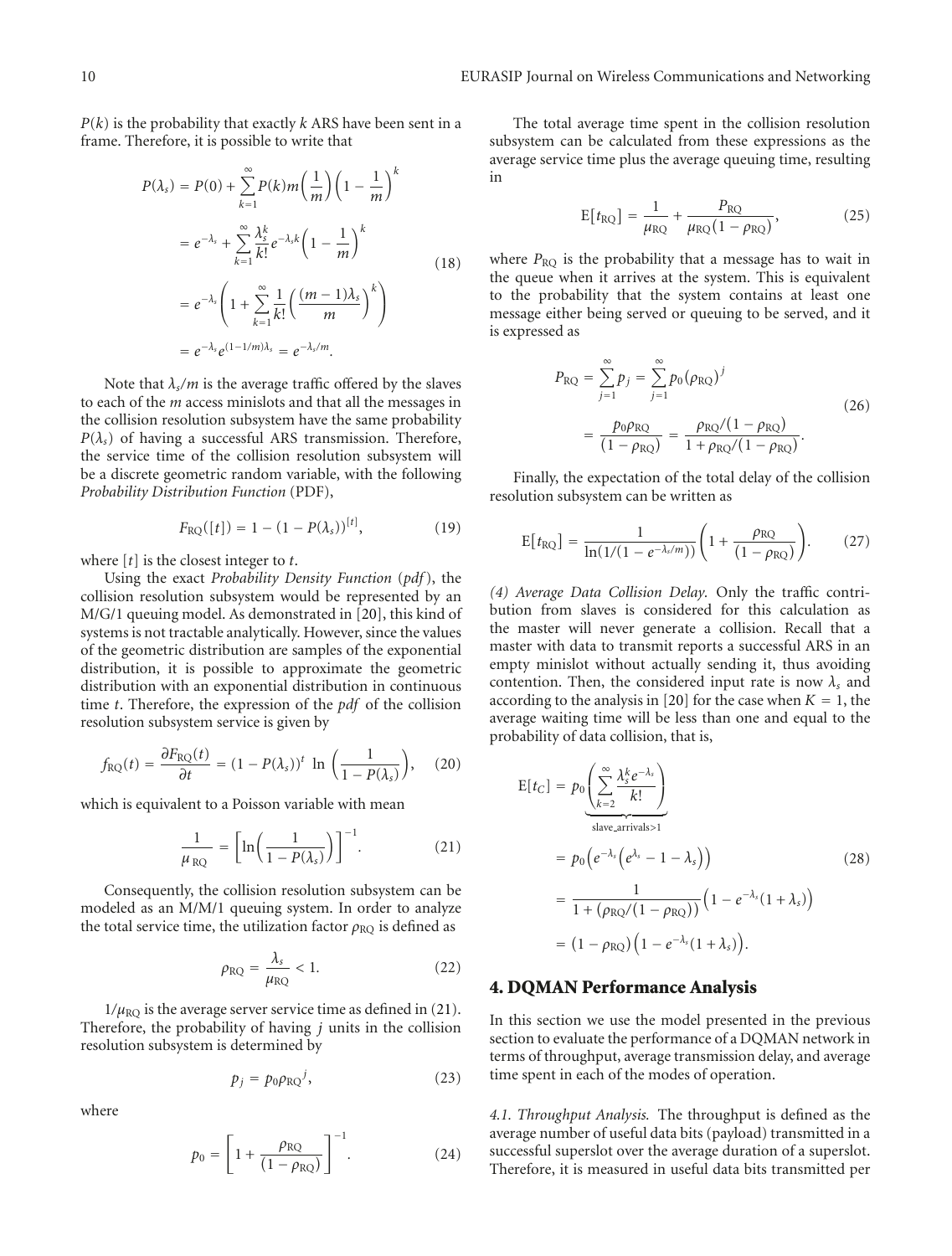$P(k)$  is the probability that exactly  $k$  ARS have been sent in a frame. Therefore, it is possible to write that

$$
P(\lambda_s) = P(0) + \sum_{k=1}^{\infty} P(k)m\left(\frac{1}{m}\right)\left(1 - \frac{1}{m}\right)^k
$$
  

$$
= e^{-\lambda_s} + \sum_{k=1}^{\infty} \frac{\lambda_s^k}{k!} e^{-\lambda_s k} \left(1 - \frac{1}{m}\right)^k
$$
  

$$
= e^{-\lambda_s} \left(1 + \sum_{k=1}^{\infty} \frac{1}{k!} \left(\frac{(m-1)\lambda_s}{m}\right)^k\right)
$$
  

$$
= e^{-\lambda_s} e^{(1-1/m)\lambda_s} = e^{-\lambda_s/m}.
$$
 (18)

Note that  $\lambda_s/m$  is the average traffic offered by the slaves to each of the *m* access minislots and that all the messages in the collision resolution subsystem have the same probability  $P(\lambda_s)$  of having a successful ARS transmission. Therefore, the service time of the collision resolution subsystem will be a discrete geometric random variable, with the following *Probability Distribution Function* (PDF),

$$
F_{\rm RQ}([t]) = 1 - (1 - P(\lambda_s))^{[t]}, \qquad (19)
$$

where [*t*] is the closest integer to *t*.

Using the exact *Probability Density Function* (*pdf*), the collision resolution subsystem would be represented by an M/G/1 queuing model. As demonstrated in [20], this kind of systems is not tractable analytically. However, since the values of the geometric distribution are samples of the exponential distribution, it is possible to approximate the geometric distribution with an exponential distribution in continuous time *t*. Therefore, the expression of the *pdf* of the collision resolution subsystem service is given by

$$
f_{\rm RQ}(t) = \frac{\partial F_{\rm RQ}(t)}{\partial t} = (1 - P(\lambda_s))^t \ln\left(\frac{1}{1 - P(\lambda_s)}\right), \quad (20)
$$

which is equivalent to a Poisson variable with mean

$$
\frac{1}{\mu_{\rm RQ}} = \left[ \ln \left( \frac{1}{1 - P(\lambda_s)} \right) \right]^{-1}.
$$
 (21)

Consequently, the collision resolution subsystem can be modeled as an M/M/1 queuing system. In order to analyze the total service time, the utilization factor  $\rho_{\text{RQ}}$  is defined as

$$
\rho_{\rm RQ} = \frac{\lambda_s}{\mu_{\rm RQ}} < 1. \tag{22}
$$

 $1/\mu_{\text{RQ}}$  is the average server service time as defined in (21). Therefore, the probability of having *j* units in the collision resolution subsystem is determined by

$$
p_j = p_0 \rho_{\rm RQ}{}^j,\tag{23}
$$

where

$$
p_0 = \left[1 + \frac{\rho_{\rm RQ}}{(1 - \rho_{\rm RQ})}\right]^{-1}.
$$
 (24)

The total average time spent in the collision resolution subsystem can be calculated from these expressions as the average service time plus the average queuing time, resulting in

$$
E[t_{RQ}] = \frac{1}{\mu_{RQ}} + \frac{P_{RQ}}{\mu_{RQ}(1 - \rho_{RQ})},
$$
 (25)

where  $P_{\text{RQ}}$  is the probability that a message has to wait in the queue when it arrives at the system. This is equivalent to the probability that the system contains at least one message either being served or queuing to be served, and it is expressed as

$$
P_{\text{RQ}} = \sum_{j=1}^{\infty} p_j = \sum_{j=1}^{\infty} p_0 (\rho_{\text{RQ}})^j
$$
  
= 
$$
\frac{p_0 \rho_{\text{RQ}}}{(1 - \rho_{\text{RQ}})} = \frac{\rho_{\text{RQ}}/(1 - \rho_{\text{RQ}})}{1 + \rho_{\text{RQ}}/(1 - \rho_{\text{RQ}})}.
$$
 (26)

Finally, the expectation of the total delay of the collision resolution subsystem can be written as

$$
E[t_{RQ}] = \frac{1}{\ln(1/(1 - e^{-\lambda_s/m}))} \left(1 + \frac{\rho_{RQ}}{(1 - \rho_{RQ})}\right).
$$
 (27)

*(4) Average Data Collision Delay.* Only the traffic contribution from slaves is considered for this calculation as the master will never generate a collision. Recall that a master with data to transmit reports a successful ARS in an empty minislot without actually sending it, thus avoiding contention. Then, the considered input rate is now  $\lambda_s$  and according to the analysis in [20] for the case when  $K = 1$ , the average waiting time will be less than one and equal to the probability of data collision, that is,

$$
E[t_C] = p_0 \left( \sum_{k=2}^{\infty} \frac{\lambda_s^k e^{-\lambda_s}}{k!} \right)
$$
  
\n=  $p_0 \left( e^{-\lambda_s} \left( e^{\lambda_s} - 1 - \lambda_s \right) \right)$  (28)  
\n=  $\frac{1}{1 + \left( \rho_{\text{RQ}} / (1 - \rho_{\text{RQ}}) \right)} \left( 1 - e^{-\lambda_s} (1 + \lambda_s) \right)$   
\n=  $(1 - \rho_{\text{RQ}}) \left( 1 - e^{-\lambda_s} (1 + \lambda_s) \right).$ 

#### **4. DQMAN Performance Analysis**

In this section we use the model presented in the previous section to evaluate the performance of a DQMAN network in terms of throughput, average transmission delay, and average time spent in each of the modes of operation.

*4.1. Throughput Analysis.* The throughput is defined as the average number of useful data bits (payload) transmitted in a successful superslot over the average duration of a superslot. Therefore, it is measured in useful data bits transmitted per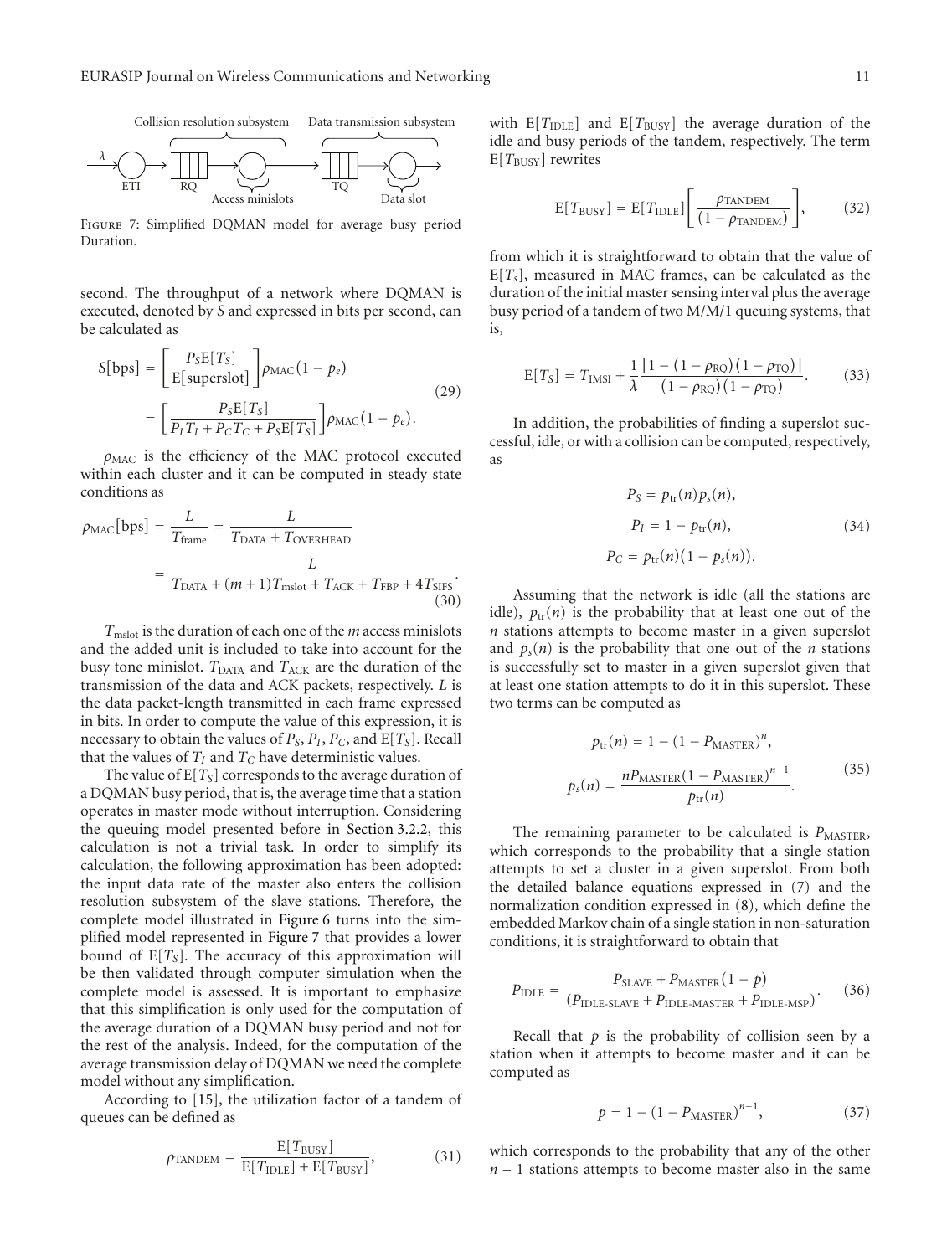

Figure 7: Simplified DQMAN model for average busy period Duration.

second. The throughput of a network where DQMAN is executed, denoted by *S* and expressed in bits per second, can be calculated as

$$
S[bps] = \left[\frac{P_S E[T_S]}{E[superslot]}\right] \rho_{MAC} (1 - p_e)
$$
  
= 
$$
\left[\frac{P_S E[T_S]}{P_T T_I + P_C T_C + P_S E[T_S]}\right] \rho_{MAC} (1 - p_e).
$$
 (29)

 $\rho_{\text{MAC}}$  is the efficiency of the MAC protocol executed within each cluster and it can be computed in steady state conditions as

$$
\rho_{\text{MAC}}[\text{bps}] = \frac{L}{T_{\text{frame}}} = \frac{L}{T_{\text{DATA}} + T_{\text{overHEAD}}}
$$

$$
= \frac{L}{T_{\text{DATA}} + (m+1)T_{\text{mslot}} + T_{\text{ACK}} + T_{\text{FBP}} + 4T_{\text{SIFS}}}.
$$
(30)

*T*mslot is the duration of each one of the *m* access minislots and the added unit is included to take into account for the busy tone minislot. *T*<sub>DATA</sub> and *T*<sub>ACK</sub> are the duration of the transmission of the data and ACK packets, respectively. *L* is the data packet-length transmitted in each frame expressed in bits. In order to compute the value of this expression, it is necessary to obtain the values of  $P_S$ ,  $P_I$ ,  $P_C$ , and  $E[T_S]$ . Recall that the values of  $T_I$  and  $T_C$  have deterministic values.

The value of  $E[T_S]$  corresponds to the average duration of a DQMAN busy period, that is, the average time that a station operates in master mode without interruption. Considering the queuing model presented before in Section 3.2.2, this calculation is not a trivial task. In order to simplify its calculation, the following approximation has been adopted: the input data rate of the master also enters the collision resolution subsystem of the slave stations. Therefore, the complete model illustrated in Figure 6 turns into the simplified model represented in Figure 7 that provides a lower bound of  $E[T<sub>S</sub>]$ . The accuracy of this approximation will be then validated through computer simulation when the complete model is assessed. It is important to emphasize that this simplification is only used for the computation of the average duration of a DQMAN busy period and not for the rest of the analysis. Indeed, for the computation of the average transmission delay of DQMAN we need the complete model without any simplification.

According to [15], the utilization factor of a tandem of queues can be defined as

$$
\rho_{\text{TANDEM}} = \frac{E[T_{\text{BUSY}}]}{E[T_{\text{IDLE}}] + E[T_{\text{BUSY}}]},\tag{31}
$$

with  $E[T_{\text{IDLE}}]$  and  $E[T_{\text{BUSY}}]$  the average duration of the idle and busy periods of the tandem, respectively. The term E[*T*<sub>BUSY</sub>] rewrites

$$
E[T_{\text{BUSY}}] = E[T_{\text{IDLE}}] \left[ \frac{\rho_{\text{TANDEM}}}{(1 - \rho_{\text{TANDEM}})} \right],\tag{32}
$$

from which it is straightforward to obtain that the value of  $E[T_s]$ , measured in MAC frames, can be calculated as the duration of the initial master sensing interval plus the average busy period of a tandem of two M/M/1 queuing systems, that is,

$$
E[T_S] = T_{IMSI} + \frac{1}{\lambda} \frac{\left[1 - (1 - \rho_{RQ})(1 - \rho_{TQ})\right]}{(1 - \rho_{RQ})(1 - \rho_{TQ})}.
$$
 (33)

In addition, the probabilities of finding a superslot successful, idle, or with a collision can be computed, respectively, as

$$
P_S = p_{tr}(n)p_s(n),
$$
  
\n
$$
P_I = 1 - p_{tr}(n),
$$
  
\n
$$
P_C = p_{tr}(n)(1 - p_s(n)).
$$
\n(34)

Assuming that the network is idle (all the stations are idle),  $p_{tr}(n)$  is the probability that at least one out of the *n* stations attempts to become master in a given superslot and  $p_s(n)$  is the probability that one out of the *n* stations is successfully set to master in a given superslot given that at least one station attempts to do it in this superslot. These two terms can be computed as

$$
p_{\text{tr}}(n) = 1 - (1 - P_{\text{MASTER}})^n,
$$
  

$$
p_s(n) = \frac{n P_{\text{MASTER}} (1 - P_{\text{MASTER}})^{n-1}}{p_{\text{tr}}(n)}.
$$
 (35)

The remaining parameter to be calculated is  $P<sub>MASTER</sub>$ , which corresponds to the probability that a single station attempts to set a cluster in a given superslot. From both the detailed balance equations expressed in (7) and the normalization condition expressed in (8), which define the embedded Markov chain of a single station in non-saturation conditions, it is straightforward to obtain that

$$
P_{\text{IDLE}} = \frac{P_{\text{SLAVE}} + P_{\text{MASTER}}(1 - p)}{(P_{\text{IDLE-SLAVE}} + P_{\text{IDLE-MASTER}} + P_{\text{IDLE-MSP}})}.\tag{36}
$$

Recall that  $p$  is the probability of collision seen by a station when it attempts to become master and it can be computed as

$$
p = 1 - (1 - P_{\text{MASTER}})^{n-1},\tag{37}
$$

which corresponds to the probability that any of the other  $n - 1$  stations attempts to become master also in the same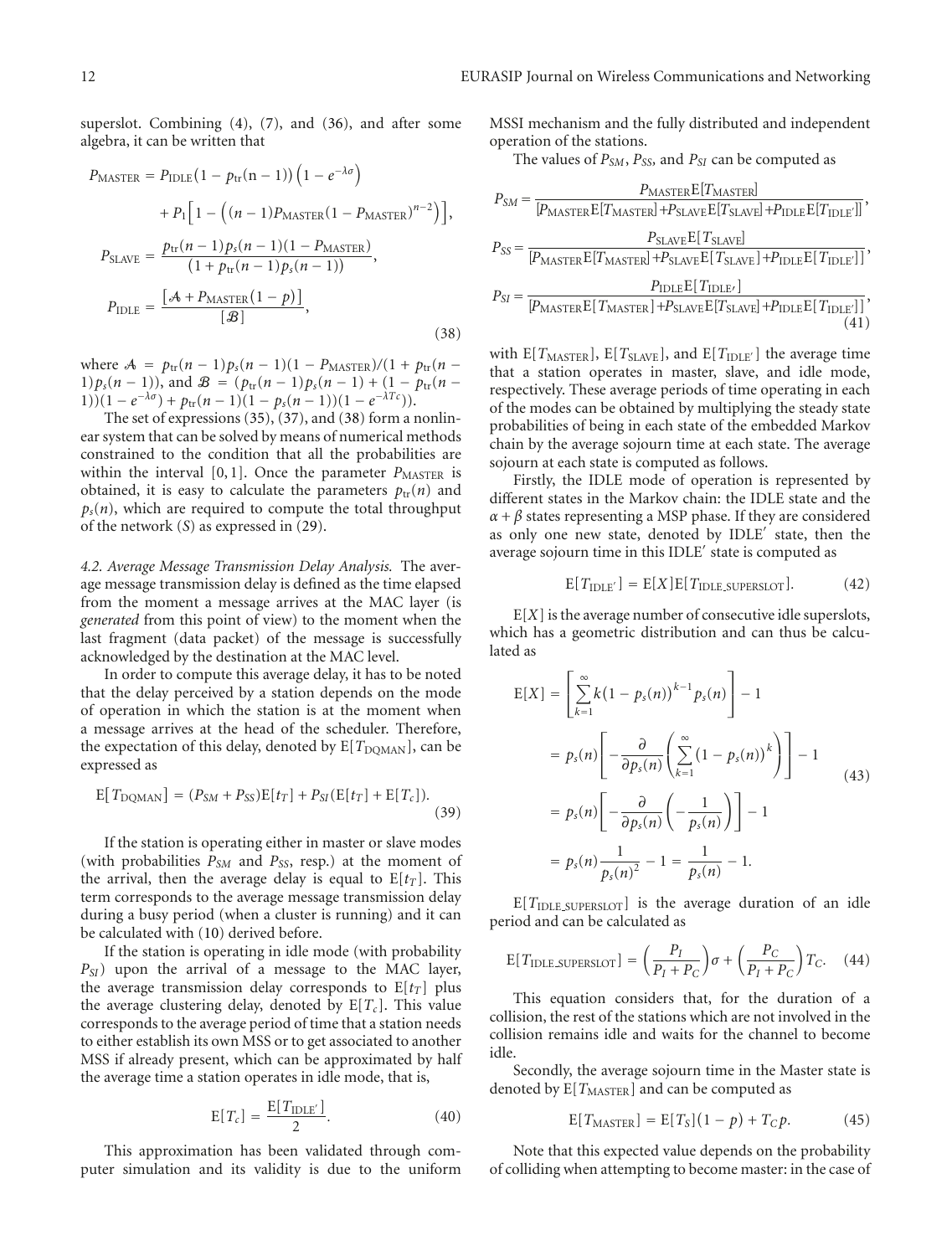superslot. Combining (4), (7), and (36), and after some algebra, it can be written that

$$
P_{\text{MASTER}} = P_{\text{IDLE}}(1 - p_{\text{tr}}(n - 1)) \left(1 - e^{-\lambda \sigma}\right) + P_1 \left[1 - \left((n - 1)P_{\text{MASTER}}(1 - P_{\text{MASTER}})^{n-2}\right)\right],
$$
  

$$
P_{\text{SLAVE}} = \frac{p_{\text{tr}}(n - 1)p_s(n - 1)(1 - P_{\text{MASTER}})}{(1 + p_{\text{tr}}(n - 1)p_s(n - 1))},
$$
  

$$
P_{\text{IDLE}} = \frac{\left[\mathcal{A} + P_{\text{MASTER}}(1 - p)\right]}{\left[\mathcal{B}\right]},
$$
(38)

where  $A = p_{tr}(n-1)p_s(n-1)(1 - P_{MASTER})/(1 + p_{tr}(n-1))$ 1) $p_s(n-1)$ , and  $\mathcal{B} = (p_{tr}(n-1)p_s(n-1) + (1 - p_{tr}(n-1)))$ 1))(1 –  $e^{-\lambda \sigma}$ ) +  $p_{tr}(n-1)(1-p_s(n-1))(1-e^{-\lambda T_c}).$ 

The set of expressions  $(35)$ ,  $(37)$ , and  $(38)$  form a nonlinear system that can be solved by means of numerical methods constrained to the condition that all the probabilities are within the interval  $[0, 1]$ . Once the parameter  $P_{\text{MASTER}}$  is obtained, it is easy to calculate the parameters  $p_{tr}(n)$  and  $p_s(n)$ , which are required to compute the total throughput of the network (*S*) as expressed in (29).

*4.2. Average Message Transmission Delay Analysis.* The average message transmission delay is defined as the time elapsed from the moment a message arrives at the MAC layer (is *generated* from this point of view) to the moment when the last fragment (data packet) of the message is successfully acknowledged by the destination at the MAC level.

In order to compute this average delay, it has to be noted that the delay perceived by a station depends on the mode of operation in which the station is at the moment when a message arrives at the head of the scheduler. Therefore, the expectation of this delay, denoted by  $E[T_{DQMAN}]$ , can be expressed as

$$
E[T_{\text{DQMAN}}] = (P_{SM} + P_{SS})E[t_T] + P_{SI}(E[t_T] + E[T_c]).
$$
\n(39)

If the station is operating either in master or slave modes (with probabilities  $P_{SM}$  and  $P_{SS}$ , resp.) at the moment of the arrival, then the average delay is equal to  $E[t_T]$ . This term corresponds to the average message transmission delay during a busy period (when a cluster is running) and it can be calculated with (10) derived before.

If the station is operating in idle mode (with probability *PSI*) upon the arrival of a message to the MAC layer, the average transmission delay corresponds to  $E[t_T]$  plus the average clustering delay, denoted by  $E[T_c]$ . This value corresponds to the average period of time that a station needs to either establish its own MSS or to get associated to another MSS if already present, which can be approximated by half the average time a station operates in idle mode, that is,

$$
E[T_c] = \frac{E[T_{\text{IDLE}'}]}{2}.
$$
 (40)

This approximation has been validated through computer simulation and its validity is due to the uniform

MSSI mechanism and the fully distributed and independent operation of the stations.

The values of *PSM*, *PSS,* and *PSI* can be computed as

$$
P_{SM} = \frac{P_{\text{MASTER}}E[T_{\text{MASTER}}]}{[P_{\text{MASTER}}E[T_{\text{MASTER}}] + P_{\text{SLAVE}}E[T_{\text{SLAVE}}] + P_{\text{IDLE}}E[T_{\text{IDLE}}]]},
$$
\n
$$
P_{SS} = \frac{P_{\text{SLAVE}}E[T_{\text{SLAVE}}]}{[P_{\text{MASTER}}E[T_{\text{MASTER}}] + P_{\text{SLAVE}}E[T_{\text{SLAVE}}] + P_{\text{IDLE}}E[T_{\text{IDLE}}]]},
$$
\n
$$
P_{SI} = \frac{P_{\text{IDLE}}E[T_{\text{IDLE}}]}{[P_{\text{MASTER}}E[T_{\text{MASTER}}] + P_{\text{SLAVE}}E[T_{\text{SLAVE}}] + P_{\text{IDLE}}E[T_{\text{IDLE}}]]},
$$
\n(41)

with  $E[T_{\text{MASTER}}]$ ,  $E[T_{\text{SLAVE}}]$ , and  $E[T_{\text{IDLE}}]$  the average time that a station operates in master, slave, and idle mode, respectively. These average periods of time operating in each of the modes can be obtained by multiplying the steady state probabilities of being in each state of the embedded Markov chain by the average sojourn time at each state. The average sojourn at each state is computed as follows.

Firstly, the IDLE mode of operation is represented by different states in the Markov chain: the IDLE state and the  $\alpha + \beta$  states representing a MSP phase. If they are considered as only one new state, denoted by IDLE' state, then the average sojourn time in this  $IDLE'$  state is computed as

$$
E[T_{\text{IDLE}'}] = E[X]E[T_{\text{IDLE.SUPERSLOT}}].
$$
 (42)

 $E[X]$  is the average number of consecutive idle superslots, which has a geometric distribution and can thus be calculated as

$$
E[X] = \left[\sum_{k=1}^{\infty} k(1 - p_s(n))^{k-1} p_s(n)\right] - 1
$$
  
=  $p_s(n) \left[ -\frac{\partial}{\partial p_s(n)} \left(\sum_{k=1}^{\infty} (1 - p_s(n))^{k}\right) \right] - 1$   
=  $p_s(n) \left[ -\frac{\partial}{\partial p_s(n)} \left(-\frac{1}{p_s(n)}\right) \right] - 1$   
=  $p_s(n) \frac{1}{p_s(n)^2} - 1 = \frac{1}{p_s(n)} - 1.$  (43)

 $E[T<sub>IDLE-SUPERSLOT</sub>]$  is the average duration of an idle period and can be calculated as

$$
E[T_{\text{IDLE.SUPERSLOT}}] = \left(\frac{P_I}{P_I + P_C}\right)\sigma + \left(\frac{P_C}{P_I + P_C}\right)T_C.
$$
 (44)

This equation considers that, for the duration of a collision, the rest of the stations which are not involved in the collision remains idle and waits for the channel to become idle.

Secondly, the average sojourn time in the Master state is denoted by  $E[T_{\text{MASTER}}]$  and can be computed as

$$
E[T_{\text{MASTER}}] = E[T_S](1 - p) + T_C p. \tag{45}
$$

Note that this expected value depends on the probability of colliding when attempting to become master: in the case of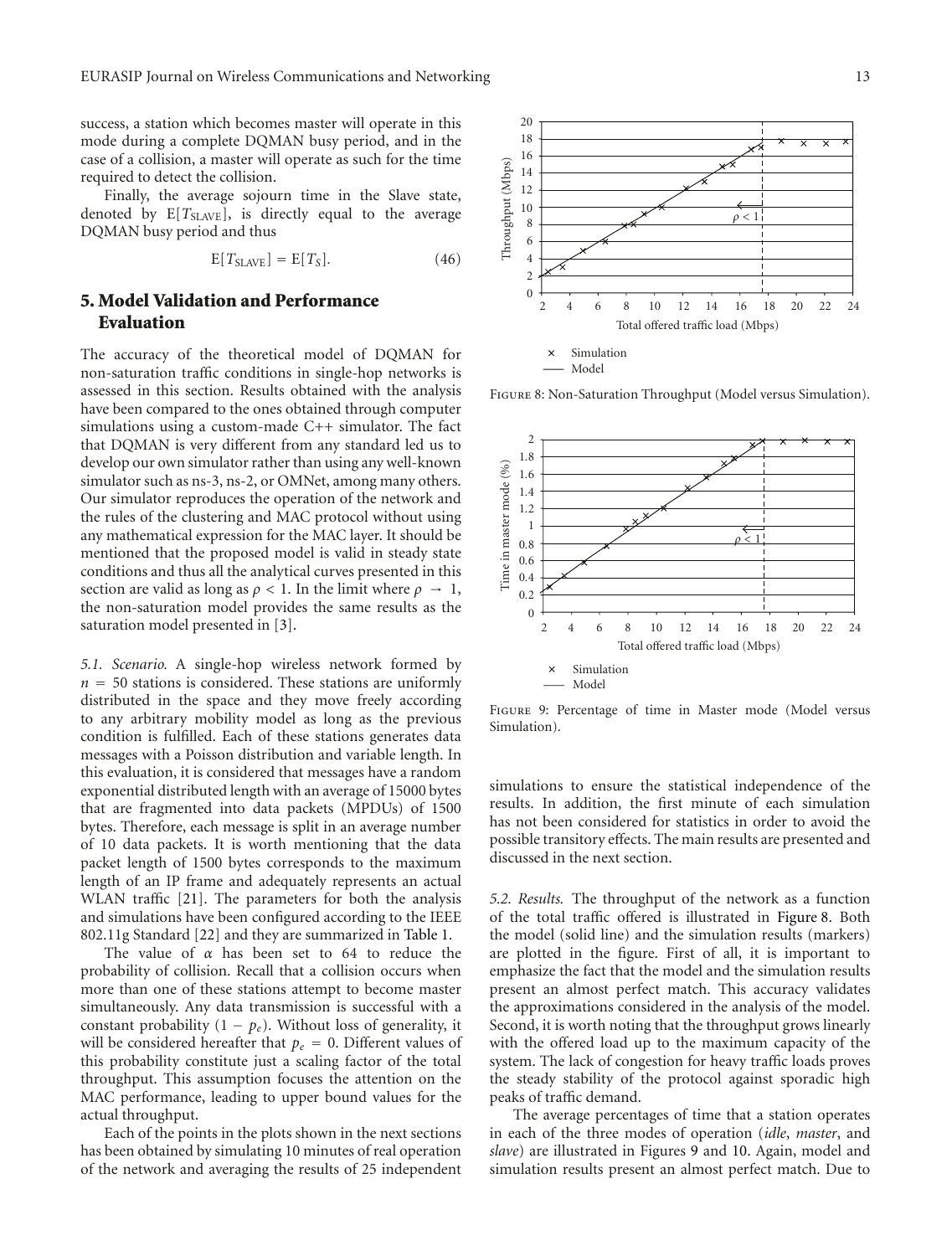success, a station which becomes master will operate in this mode during a complete DQMAN busy period, and in the case of a collision, a master will operate as such for the time required to detect the collision.

Finally, the average sojourn time in the Slave state, denoted by E[*T*SLAVE], is directly equal to the average DQMAN busy period and thus

$$
E[T_{SLAVE}] = E[T_S]. \tag{46}
$$

# **5. Model Validation and Performance Evaluation**

The accuracy of the theoretical model of DQMAN for non-saturation traffic conditions in single-hop networks is assessed in this section. Results obtained with the analysis have been compared to the ones obtained through computer simulations using a custom-made C++ simulator. The fact that DQMAN is very different from any standard led us to develop our own simulator rather than using any well-known simulator such as ns-3, ns-2, or OMNet, among many others. Our simulator reproduces the operation of the network and the rules of the clustering and MAC protocol without using any mathematical expression for the MAC layer. It should be mentioned that the proposed model is valid in steady state conditions and thus all the analytical curves presented in this section are valid as long as  $\rho < 1$ . In the limit where  $\rho \rightarrow 1$ , the non-saturation model provides the same results as the saturation model presented in [3].

*5.1. Scenario.* A single-hop wireless network formed by  $n = 50$  stations is considered. These stations are uniformly distributed in the space and they move freely according to any arbitrary mobility model as long as the previous condition is fulfilled. Each of these stations generates data messages with a Poisson distribution and variable length. In this evaluation, it is considered that messages have a random exponential distributed length with an average of 15000 bytes that are fragmented into data packets (MPDUs) of 1500 bytes. Therefore, each message is split in an average number of 10 data packets. It is worth mentioning that the data packet length of 1500 bytes corresponds to the maximum length of an IP frame and adequately represents an actual WLAN traffic [21]. The parameters for both the analysis and simulations have been configured according to the IEEE 802.11g Standard [22] and they are summarized in Table 1.

The value of *α* has been set to 64 to reduce the probability of collision. Recall that a collision occurs when more than one of these stations attempt to become master simultaneously. Any data transmission is successful with a constant probability  $(1 - p_e)$ . Without loss of generality, it will be considered hereafter that  $p_e = 0$ . Different values of this probability constitute just a scaling factor of the total throughput. This assumption focuses the attention on the MAC performance, leading to upper bound values for the actual throughput.

Each of the points in the plots shown in the next sections has been obtained by simulating 10 minutes of real operation of the network and averaging the results of 25 independent



Figure 8: Non-Saturation Throughput (Model versus Simulation).



Figure 9: Percentage of time in Master mode (Model versus Simulation).

simulations to ensure the statistical independence of the results. In addition, the first minute of each simulation has not been considered for statistics in order to avoid the possible transitory effects. The main results are presented and discussed in the next section.

*5.2. Results.* The throughput of the network as a function of the total traffic offered is illustrated in Figure 8. Both the model (solid line) and the simulation results (markers) are plotted in the figure. First of all, it is important to emphasize the fact that the model and the simulation results present an almost perfect match. This accuracy validates the approximations considered in the analysis of the model. Second, it is worth noting that the throughput grows linearly with the offered load up to the maximum capacity of the system. The lack of congestion for heavy traffic loads proves the steady stability of the protocol against sporadic high peaks of traffic demand.

The average percentages of time that a station operates in each of the three modes of operation (*idle*, *master*, and *slave*) are illustrated in Figures 9 and 10. Again, model and simulation results present an almost perfect match. Due to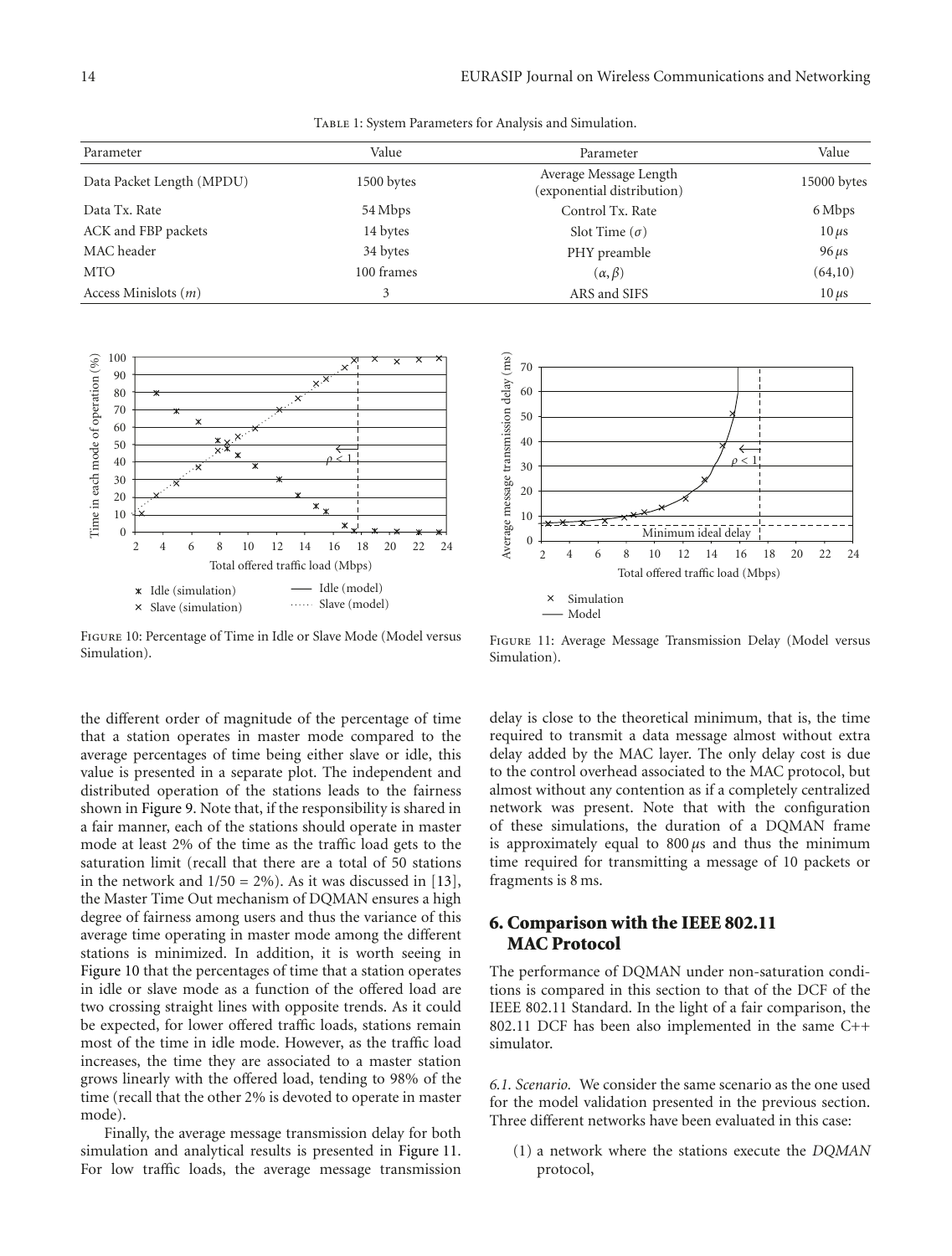| Parameter                 | Value      | Parameter                                            | Value       |
|---------------------------|------------|------------------------------------------------------|-------------|
| Data Packet Length (MPDU) | 1500 bytes | Average Message Length<br>(exponential distribution) | 15000 bytes |
| Data Tx. Rate             | 54 Mbps    | Control Tx. Rate                                     | 6 Mbps      |
| ACK and FBP packets       | 14 bytes   | Slot Time $(\sigma)$                                 | $10 \mu s$  |
| MAC header                | 34 bytes   | PHY preamble                                         | $96 \mu s$  |
| <b>MTO</b>                | 100 frames | $(\alpha, \beta)$                                    | (64,10)     |
| Access Minislots $(m)$    | 3          | ARS and SIFS                                         | $10 \mu s$  |

TABLE 1: System Parameters for Analysis and Simulation.



Figure 10: Percentage of Time in Idle or Slave Mode (Model versus Simulation).

the different order of magnitude of the percentage of time that a station operates in master mode compared to the average percentages of time being either slave or idle, this value is presented in a separate plot. The independent and distributed operation of the stations leads to the fairness shown in Figure 9. Note that, if the responsibility is shared in a fair manner, each of the stations should operate in master mode at least 2% of the time as the traffic load gets to the saturation limit (recall that there are a total of 50 stations in the network and  $1/50 = 2\%$ ). As it was discussed in [13], the Master Time Out mechanism of DQMAN ensures a high degree of fairness among users and thus the variance of this average time operating in master mode among the different stations is minimized. In addition, it is worth seeing in Figure 10 that the percentages of time that a station operates in idle or slave mode as a function of the offered load are two crossing straight lines with opposite trends. As it could be expected, for lower offered traffic loads, stations remain most of the time in idle mode. However, as the traffic load increases, the time they are associated to a master station grows linearly with the offered load, tending to 98% of the time (recall that the other 2% is devoted to operate in master mode).

Finally, the average message transmission delay for both simulation and analytical results is presented in Figure 11. For low traffic loads, the average message transmission



Figure 11: Average Message Transmission Delay (Model versus Simulation).

delay is close to the theoretical minimum, that is, the time required to transmit a data message almost without extra delay added by the MAC layer. The only delay cost is due to the control overhead associated to the MAC protocol, but almost without any contention as if a completely centralized network was present. Note that with the configuration of these simulations, the duration of a DQMAN frame is approximately equal to 800 *μ*s and thus the minimum time required for transmitting a message of 10 packets or fragments is 8 ms.

### **6. Comparison with the IEEE 802.11 MAC Protocol**

The performance of DQMAN under non-saturation conditions is compared in this section to that of the DCF of the IEEE 802.11 Standard. In the light of a fair comparison, the 802.11 DCF has been also implemented in the same C++ simulator.

*6.1. Scenario.* We consider the same scenario as the one used for the model validation presented in the previous section. Three different networks have been evaluated in this case:

(1) a network where the stations execute the *DQMAN* protocol,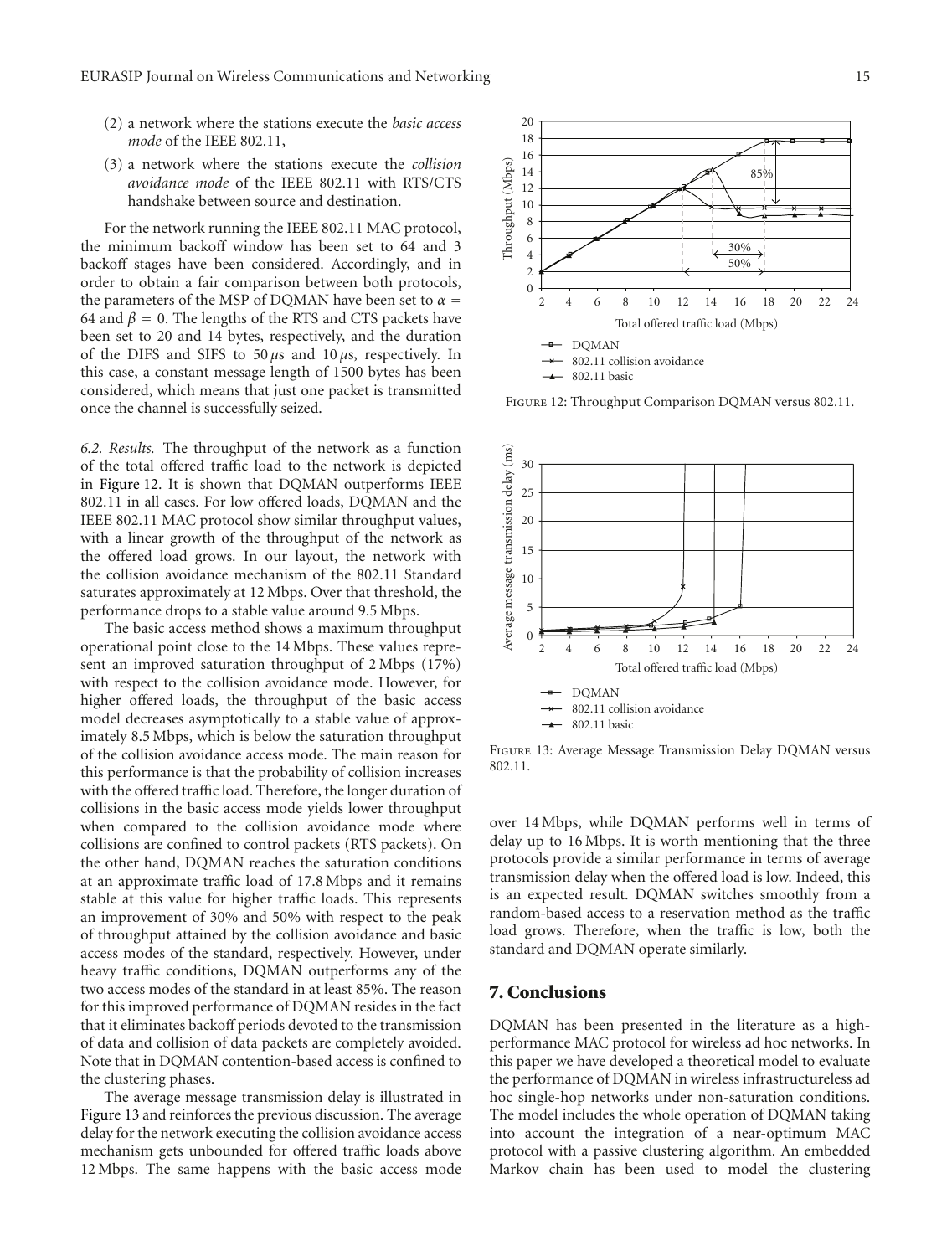- (2) a network where the stations execute the *basic access mode* of the IEEE 802.11,
- (3) a network where the stations execute the *collision avoidance mode* of the IEEE 802.11 with RTS/CTS handshake between source and destination.

For the network running the IEEE 802.11 MAC protocol, the minimum backoff window has been set to 64 and 3 backoff stages have been considered. Accordingly, and in order to obtain a fair comparison between both protocols, the parameters of the MSP of DQMAN have been set to  $\alpha$  = 64 and  $\beta = 0$ . The lengths of the RTS and CTS packets have been set to 20 and 14 bytes, respectively, and the duration of the DIFS and SIFS to 50 *μ*s and 10 *μ*s, respectively. In this case, a constant message length of 1500 bytes has been considered, which means that just one packet is transmitted once the channel is successfully seized.

*6.2. Results.* The throughput of the network as a function of the total offered traffic load to the network is depicted in Figure 12. It is shown that DQMAN outperforms IEEE 802.11 in all cases. For low offered loads, DQMAN and the IEEE 802.11 MAC protocol show similar throughput values, with a linear growth of the throughput of the network as the offered load grows. In our layout, the network with the collision avoidance mechanism of the 802.11 Standard saturates approximately at 12 Mbps. Over that threshold, the performance drops to a stable value around 9.5 Mbps.

The basic access method shows a maximum throughput operational point close to the 14 Mbps. These values represent an improved saturation throughput of 2 Mbps (17%) with respect to the collision avoidance mode. However, for higher offered loads, the throughput of the basic access model decreases asymptotically to a stable value of approximately 8.5 Mbps, which is below the saturation throughput of the collision avoidance access mode. The main reason for this performance is that the probability of collision increases with the offered traffic load. Therefore, the longer duration of collisions in the basic access mode yields lower throughput when compared to the collision avoidance mode where collisions are confined to control packets (RTS packets). On the other hand, DQMAN reaches the saturation conditions at an approximate traffic load of 17.8 Mbps and it remains stable at this value for higher traffic loads. This represents an improvement of 30% and 50% with respect to the peak of throughput attained by the collision avoidance and basic access modes of the standard, respectively. However, under heavy traffic conditions, DQMAN outperforms any of the two access modes of the standard in at least 85%. The reason for this improved performance of DQMAN resides in the fact that it eliminates backoff periods devoted to the transmission of data and collision of data packets are completely avoided. Note that in DQMAN contention-based access is confined to the clustering phases.

The average message transmission delay is illustrated in Figure 13 and reinforces the previous discussion. The average delay for the network executing the collision avoidance access mechanism gets unbounded for offered traffic loads above 12 Mbps. The same happens with the basic access mode



Figure 12: Throughput Comparison DQMAN versus 802.11.



Figure 13: Average Message Transmission Delay DQMAN versus 802.11.

over 14 Mbps, while DQMAN performs well in terms of delay up to 16 Mbps. It is worth mentioning that the three protocols provide a similar performance in terms of average transmission delay when the offered load is low. Indeed, this is an expected result. DQMAN switches smoothly from a random-based access to a reservation method as the traffic load grows. Therefore, when the traffic is low, both the standard and DQMAN operate similarly.

## **7. Conclusions**

DQMAN has been presented in the literature as a highperformance MAC protocol for wireless ad hoc networks. In this paper we have developed a theoretical model to evaluate the performance of DQMAN in wireless infrastructureless ad hoc single-hop networks under non-saturation conditions. The model includes the whole operation of DQMAN taking into account the integration of a near-optimum MAC protocol with a passive clustering algorithm. An embedded Markov chain has been used to model the clustering